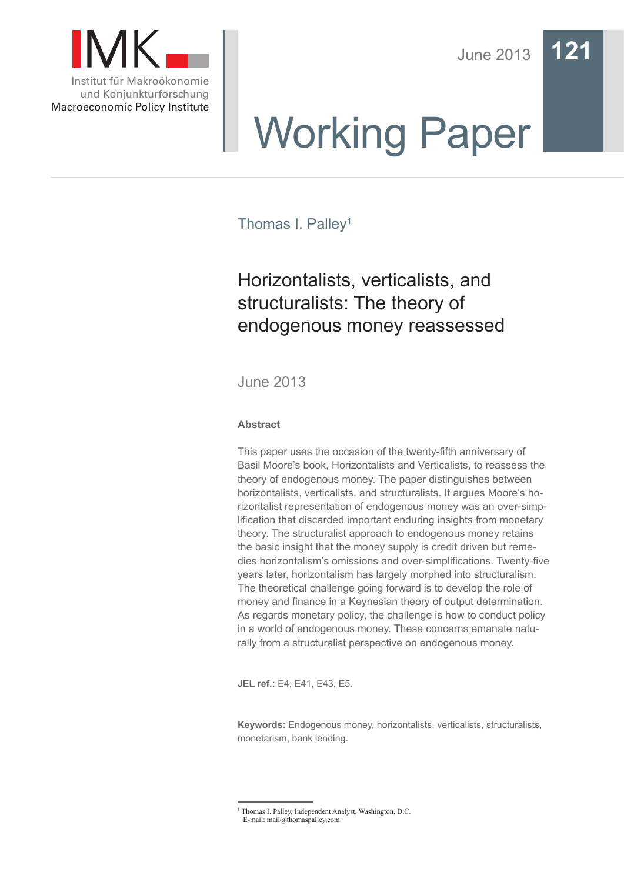

Macroeconomic Policy Institute

June 2013 **121**

# Working Paper

Thomas I. Palley<sup>1</sup>

# Horizontalists, verticalists, and structuralists: The theory of endogenous money reassessed

June 2013

### **Abstract**

This paper uses the occasion of the twenty-fifth anniversary of Basil Moore's book, Horizontalists and Verticalists, to reassess the theory of endogenous money. The paper distinguishes between horizontalists, verticalists, and structuralists. It argues Moore's horizontalist representation of endogenous money was an over-simplification that discarded important enduring insights from monetary theory. The structuralist approach to endogenous money retains the basic insight that the money supply is credit driven but remedies horizontalism's omissions and over-simplifications. Twenty-five years later, horizontalism has largely morphed into structuralism. The theoretical challenge going forward is to develop the role of money and finance in a Keynesian theory of output determination. As regards monetary policy, the challenge is how to conduct policy in a world of endogenous money. These concerns emanate naturally from a structuralist perspective on endogenous money.

**JEL ref.:** E4, E41, E43, E5.

**Keywords:** Endogenous money, horizontalists, verticalists, structuralists, monetarism, bank lending.

<sup>&</sup>lt;sup>1</sup> Thomas I. Palley, Independent Analyst, Washington, D.C. E-mail: mail@thomaspalley.com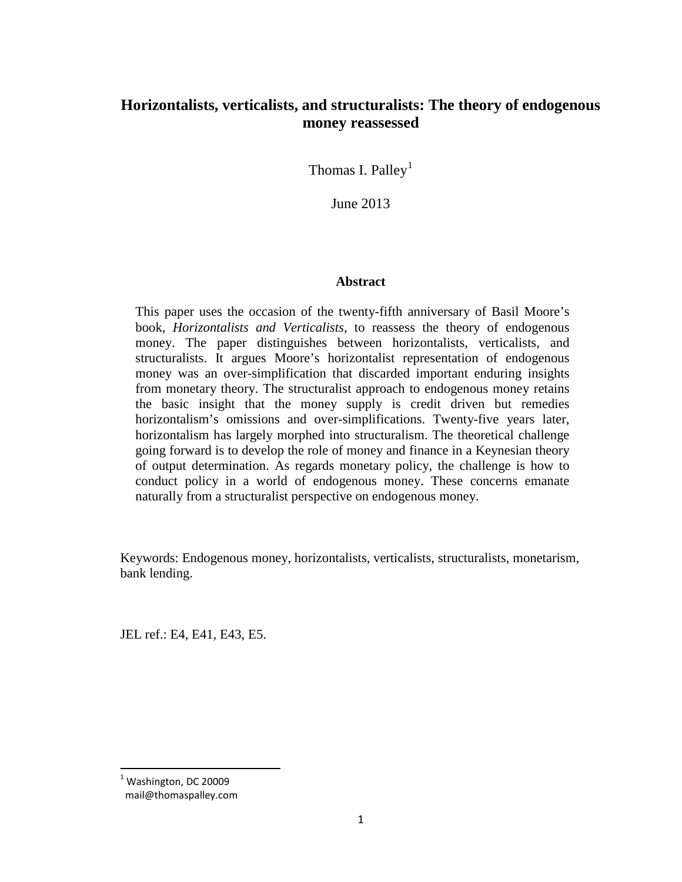## **Horizontalists, verticalists, and structuralists: The theory of endogenous money reassessed**

Thomas I. Palley<sup>[1](#page-1-0)</sup>

June 2013

#### **Abstract**

This paper uses the occasion of the twenty-fifth anniversary of Basil Moore's book, *Horizontalists and Verticalists*, to reassess the theory of endogenous money. The paper distinguishes between horizontalists, verticalists, and structuralists. It argues Moore's horizontalist representation of endogenous money was an over-simplification that discarded important enduring insights from monetary theory. The structuralist approach to endogenous money retains the basic insight that the money supply is credit driven but remedies horizontalism's omissions and over-simplifications. Twenty-five years later, horizontalism has largely morphed into structuralism. The theoretical challenge going forward is to develop the role of money and finance in a Keynesian theory of output determination. As regards monetary policy, the challenge is how to conduct policy in a world of endogenous money. These concerns emanate naturally from a structuralist perspective on endogenous money.

Keywords: Endogenous money, horizontalists, verticalists, structuralists, monetarism, bank lending.

JEL ref.: E4, E41, E43, E5.

<span id="page-1-1"></span><span id="page-1-0"></span> $<sup>1</sup>$  Washington, DC 20009</sup>

mail@thomaspalley.com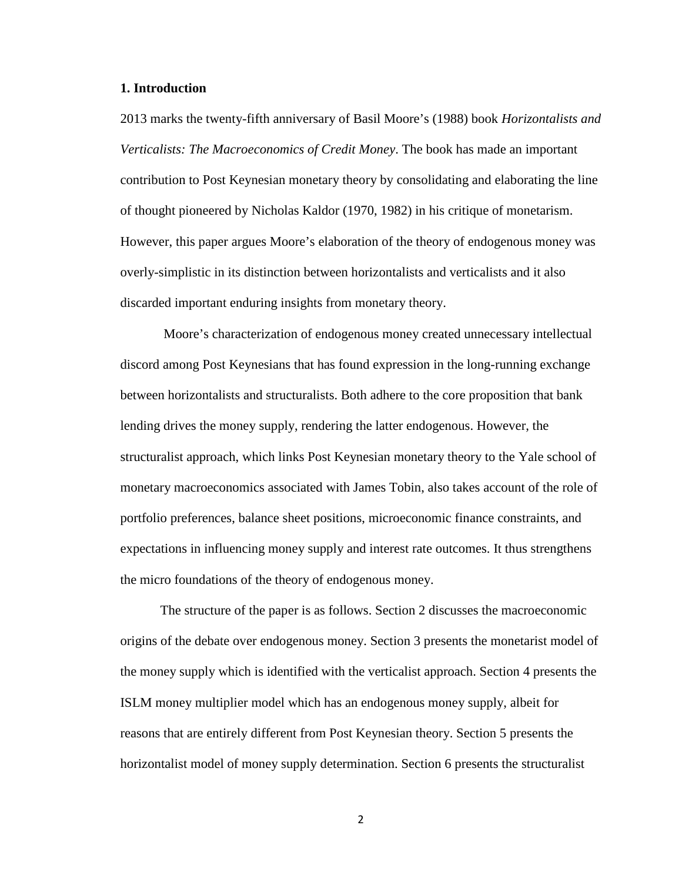#### **1. Introduction**

2013 marks the twenty-fifth anniversary of Basil Moore's (1988) book *Horizontalists and Verticalists: The Macroeconomics of Credit Money*. The book has made an important contribution to Post Keynesian monetary theory by consolidating and elaborating the line of thought pioneered by Nicholas Kaldor (1970, 1982) in his critique of monetarism. However, this paper argues Moore's elaboration of the theory of endogenous money was overly-simplistic in its distinction between horizontalists and verticalists and it also discarded important enduring insights from monetary theory.

Moore's characterization of endogenous money created unnecessary intellectual discord among Post Keynesians that has found expression in the long-running exchange between horizontalists and structuralists. Both adhere to the core proposition that bank lending drives the money supply, rendering the latter endogenous. However, the structuralist approach, which links Post Keynesian monetary theory to the Yale school of monetary macroeconomics associated with James Tobin, also takes account of the role of portfolio preferences, balance sheet positions, microeconomic finance constraints, and expectations in influencing money supply and interest rate outcomes. It thus strengthens the micro foundations of the theory of endogenous money.

The structure of the paper is as follows. Section 2 discusses the macroeconomic origins of the debate over endogenous money. Section 3 presents the monetarist model of the money supply which is identified with the verticalist approach. Section 4 presents the ISLM money multiplier model which has an endogenous money supply, albeit for reasons that are entirely different from Post Keynesian theory. Section 5 presents the horizontalist model of money supply determination. Section 6 presents the structuralist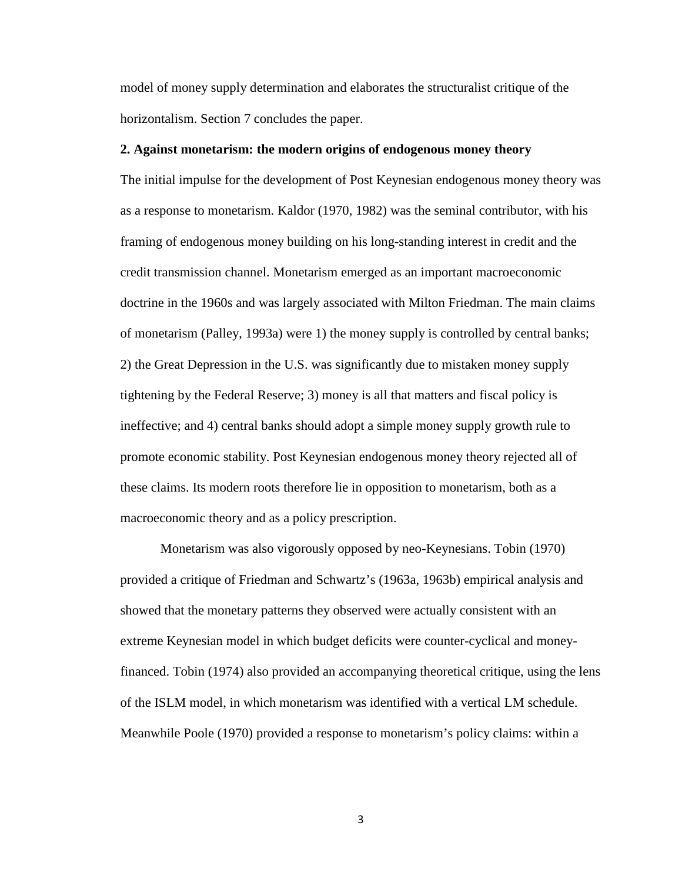model of money supply determination and elaborates the structuralist critique of the horizontalism. Section 7 concludes the paper.

#### **2. Against monetarism: the modern origins of endogenous money theory**

The initial impulse for the development of Post Keynesian endogenous money theory was as a response to monetarism. Kaldor (1970, 1982) was the seminal contributor, with his framing of endogenous money building on his long-standing interest in credit and the credit transmission channel. Monetarism emerged as an important macroeconomic doctrine in the 1960s and was largely associated with Milton Friedman. The main claims of monetarism (Palley, 1993a) were 1) the money supply is controlled by central banks; 2) the Great Depression in the U.S. was significantly due to mistaken money supply tightening by the Federal Reserve; 3) money is all that matters and fiscal policy is ineffective; and 4) central banks should adopt a simple money supply growth rule to promote economic stability. Post Keynesian endogenous money theory rejected all of these claims. Its modern roots therefore lie in opposition to monetarism, both as a macroeconomic theory and as a policy prescription.

Monetarism was also vigorously opposed by neo-Keynesians. Tobin (1970) provided a critique of Friedman and Schwartz's (1963a, 1963b) empirical analysis and showed that the monetary patterns they observed were actually consistent with an extreme Keynesian model in which budget deficits were counter-cyclical and moneyfinanced. Tobin (1974) also provided an accompanying theoretical critique, using the lens of the ISLM model, in which monetarism was identified with a vertical LM schedule. Meanwhile Poole (1970) provided a response to monetarism's policy claims: within a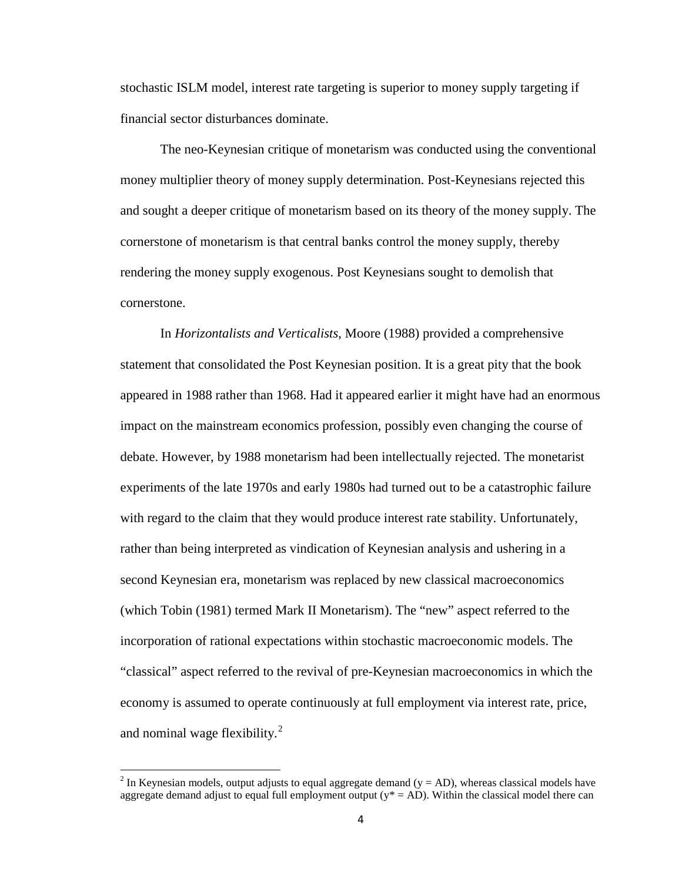stochastic ISLM model, interest rate targeting is superior to money supply targeting if financial sector disturbances dominate.

The neo-Keynesian critique of monetarism was conducted using the conventional money multiplier theory of money supply determination. Post-Keynesians rejected this and sought a deeper critique of monetarism based on its theory of the money supply. The cornerstone of monetarism is that central banks control the money supply, thereby rendering the money supply exogenous. Post Keynesians sought to demolish that cornerstone.

In *Horizontalists and Verticalists*, Moore (1988) provided a comprehensive statement that consolidated the Post Keynesian position. It is a great pity that the book appeared in 1988 rather than 1968. Had it appeared earlier it might have had an enormous impact on the mainstream economics profession, possibly even changing the course of debate. However, by 1988 monetarism had been intellectually rejected. The monetarist experiments of the late 1970s and early 1980s had turned out to be a catastrophic failure with regard to the claim that they would produce interest rate stability. Unfortunately, rather than being interpreted as vindication of Keynesian analysis and ushering in a second Keynesian era, monetarism was replaced by new classical macroeconomics (which Tobin (1981) termed Mark II Monetarism). The "new" aspect referred to the incorporation of rational expectations within stochastic macroeconomic models. The "classical" aspect referred to the revival of pre-Keynesian macroeconomics in which the economy is assumed to operate continuously at full employment via interest rate, price, and nominal wage flexibility.<sup>[2](#page-1-1)</sup>

<span id="page-4-0"></span><sup>&</sup>lt;sup>2</sup> In Keynesian models, output adjusts to equal aggregate demand ( $y = AD$ ), whereas classical models have aggregate demand adjust to equal full employment output ( $y* = AD$ ). Within the classical model there can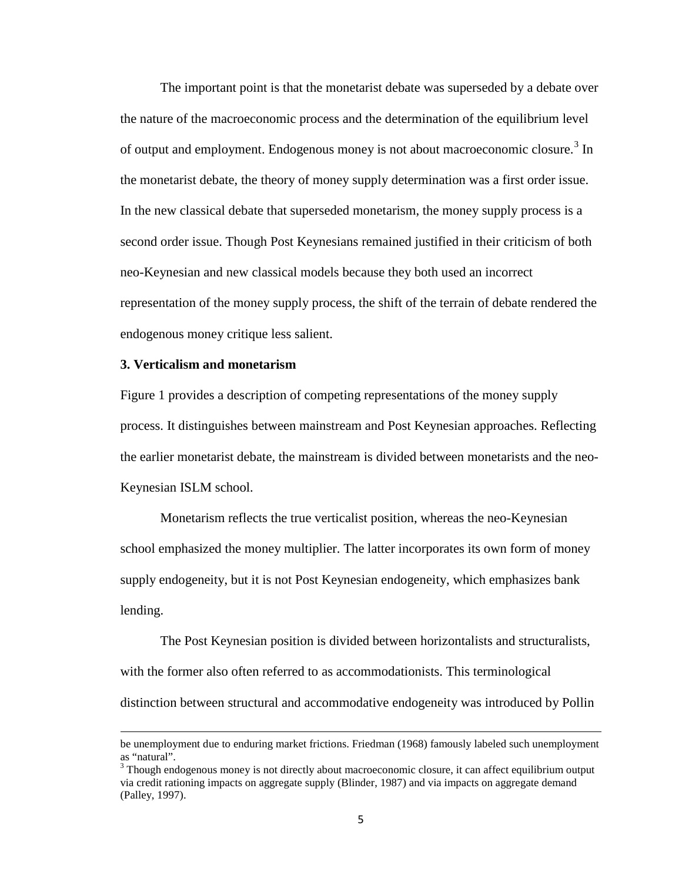The important point is that the monetarist debate was superseded by a debate over the nature of the macroeconomic process and the determination of the equilibrium level of output and employment. Endogenous money is not about macroeconomic closure.<sup>[3](#page-4-0)</sup> In the monetarist debate, the theory of money supply determination was a first order issue. In the new classical debate that superseded monetarism, the money supply process is a second order issue. Though Post Keynesians remained justified in their criticism of both neo-Keynesian and new classical models because they both used an incorrect representation of the money supply process, the shift of the terrain of debate rendered the endogenous money critique less salient.

#### **3. Verticalism and monetarism**

 $\overline{\phantom{a}}$ 

Figure 1 provides a description of competing representations of the money supply process. It distinguishes between mainstream and Post Keynesian approaches. Reflecting the earlier monetarist debate, the mainstream is divided between monetarists and the neo-Keynesian ISLM school.

Monetarism reflects the true verticalist position, whereas the neo-Keynesian school emphasized the money multiplier. The latter incorporates its own form of money supply endogeneity, but it is not Post Keynesian endogeneity, which emphasizes bank lending.

The Post Keynesian position is divided between horizontalists and structuralists, with the former also often referred to as accommodationists. This terminological distinction between structural and accommodative endogeneity was introduced by Pollin

be unemployment due to enduring market frictions. Friedman (1968) famously labeled such unemployment as "natural".

<span id="page-5-0"></span> $3$  Though endogenous money is not directly about macroeconomic closure, it can affect equilibrium output via credit rationing impacts on aggregate supply (Blinder, 1987) and via impacts on aggregate demand (Palley, 1997).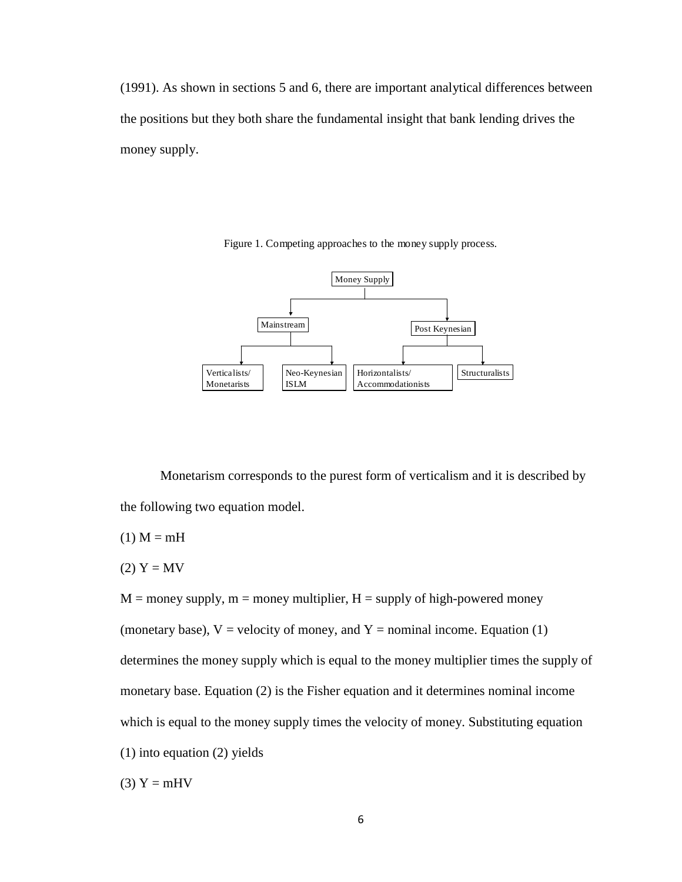(1991). As shown in sections 5 and 6, there are important analytical differences between the positions but they both share the fundamental insight that bank lending drives the money supply.



Figure 1. Competing approaches to the money supply process.

Monetarism corresponds to the purest form of verticalism and it is described by the following two equation model.

$$
(1) M = mH
$$

$$
(2) Y = MV
$$

 $M =$  money supply,  $m =$  money multiplier,  $H =$  supply of high-powered money

(monetary base),  $V =$  velocity of money, and  $Y =$  nominal income. Equation (1)

determines the money supply which is equal to the money multiplier times the supply of

monetary base. Equation (2) is the Fisher equation and it determines nominal income

which is equal to the money supply times the velocity of money. Substituting equation

(1) into equation (2) yields

$$
(3) Y = mHV
$$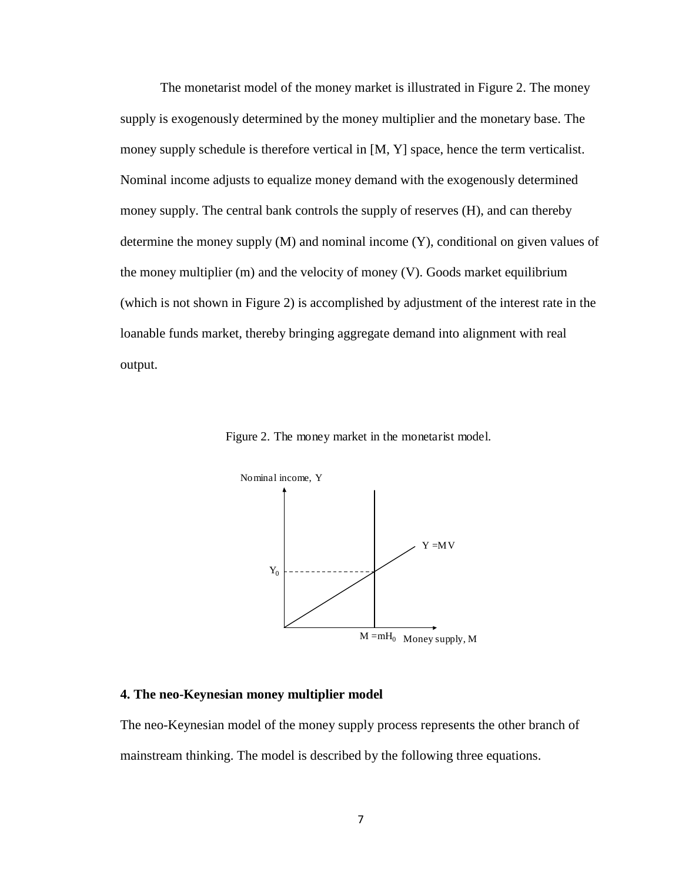The monetarist model of the money market is illustrated in Figure 2. The money supply is exogenously determined by the money multiplier and the monetary base. The money supply schedule is therefore vertical in [M, Y] space, hence the term verticalist. Nominal income adjusts to equalize money demand with the exogenously determined money supply. The central bank controls the supply of reserves (H), and can thereby determine the money supply (M) and nominal income (Y), conditional on given values of the money multiplier (m) and the velocity of money (V). Goods market equilibrium (which is not shown in Figure 2) is accomplished by adjustment of the interest rate in the loanable funds market, thereby bringing aggregate demand into alignment with real output.

Figure 2. The money market in the monetarist model.



#### **4. The neo-Keynesian money multiplier model**

The neo-Keynesian model of the money supply process represents the other branch of mainstream thinking. The model is described by the following three equations.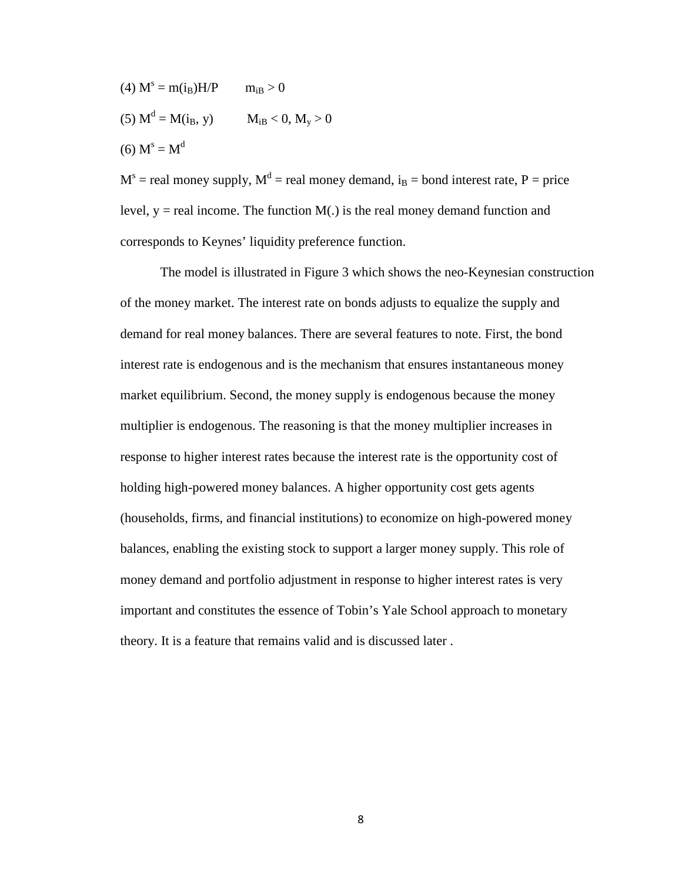- (4)  $M^s = m(i_B)H/P$   $m_{iB} > 0$
- (5)  $M^d = M(i_B, y)$   $M_{iB} < 0, M_y > 0$

(6)  $M^s = M^d$ 

 $M<sup>s</sup>$  = real money supply,  $M<sup>d</sup>$  = real money demand, i<sub>B</sub> = bond interest rate, P = price level,  $y =$  real income. The function  $M(.)$  is the real money demand function and corresponds to Keynes' liquidity preference function.

The model is illustrated in Figure 3 which shows the neo-Keynesian construction of the money market. The interest rate on bonds adjusts to equalize the supply and demand for real money balances. There are several features to note. First, the bond interest rate is endogenous and is the mechanism that ensures instantaneous money market equilibrium. Second, the money supply is endogenous because the money multiplier is endogenous. The reasoning is that the money multiplier increases in response to higher interest rates because the interest rate is the opportunity cost of holding high-powered money balances. A higher opportunity cost gets agents (households, firms, and financial institutions) to economize on high-powered money balances, enabling the existing stock to support a larger money supply. This role of money demand and portfolio adjustment in response to higher interest rates is very important and constitutes the essence of Tobin's Yale School approach to monetary theory. It is a feature that remains valid and is discussed later .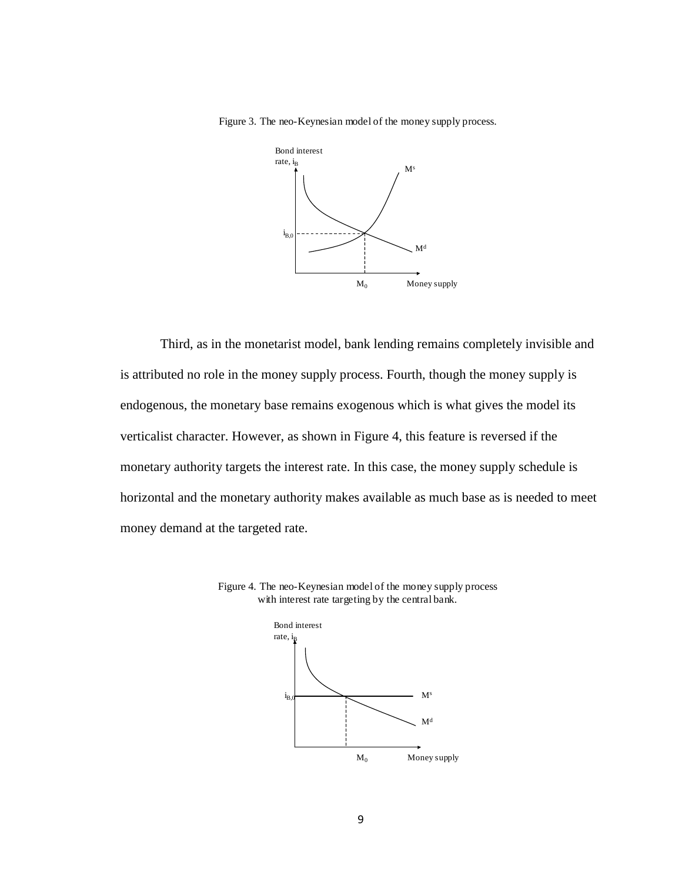Figure 3. The neo-Keynesian model of the money supply process.



Third, as in the monetarist model, bank lending remains completely invisible and is attributed no role in the money supply process. Fourth, though the money supply is endogenous, the monetary base remains exogenous which is what gives the model its verticalist character. However, as shown in Figure 4, this feature is reversed if the monetary authority targets the interest rate. In this case, the money supply schedule is horizontal and the monetary authority makes available as much base as is needed to meet money demand at the targeted rate.



Figure 4. The neo-Keynesian model of the money supply process with interest rate targeting by the central bank.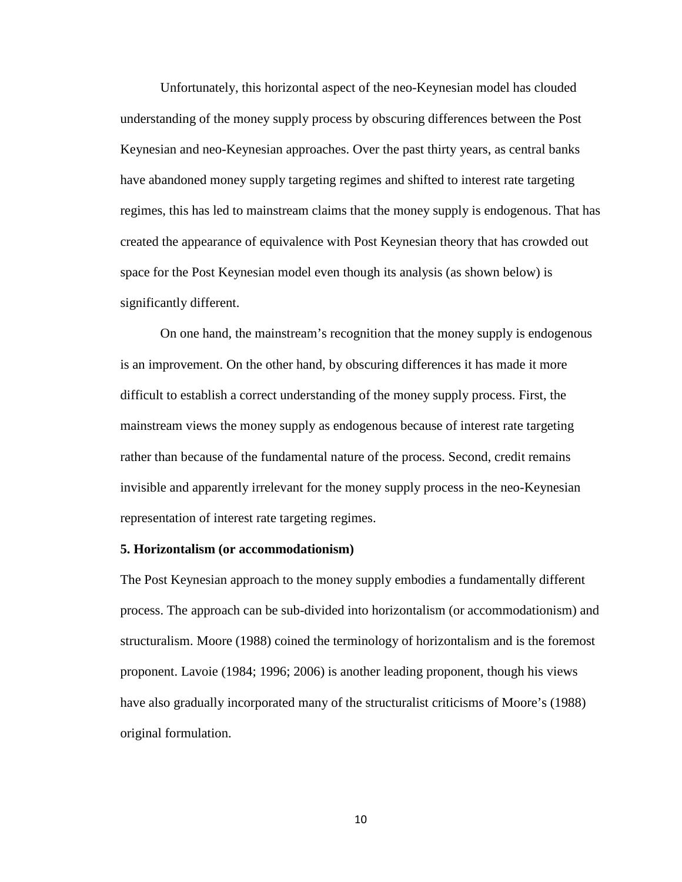Unfortunately, this horizontal aspect of the neo-Keynesian model has clouded understanding of the money supply process by obscuring differences between the Post Keynesian and neo-Keynesian approaches. Over the past thirty years, as central banks have abandoned money supply targeting regimes and shifted to interest rate targeting regimes, this has led to mainstream claims that the money supply is endogenous. That has created the appearance of equivalence with Post Keynesian theory that has crowded out space for the Post Keynesian model even though its analysis (as shown below) is significantly different.

On one hand, the mainstream's recognition that the money supply is endogenous is an improvement. On the other hand, by obscuring differences it has made it more difficult to establish a correct understanding of the money supply process. First, the mainstream views the money supply as endogenous because of interest rate targeting rather than because of the fundamental nature of the process. Second, credit remains invisible and apparently irrelevant for the money supply process in the neo-Keynesian representation of interest rate targeting regimes.

#### **5. Horizontalism (or accommodationism)**

The Post Keynesian approach to the money supply embodies a fundamentally different process. The approach can be sub-divided into horizontalism (or accommodationism) and structuralism. Moore (1988) coined the terminology of horizontalism and is the foremost proponent. Lavoie (1984; 1996; 2006) is another leading proponent, though his views have also gradually incorporated many of the structuralist criticisms of Moore's (1988) original formulation.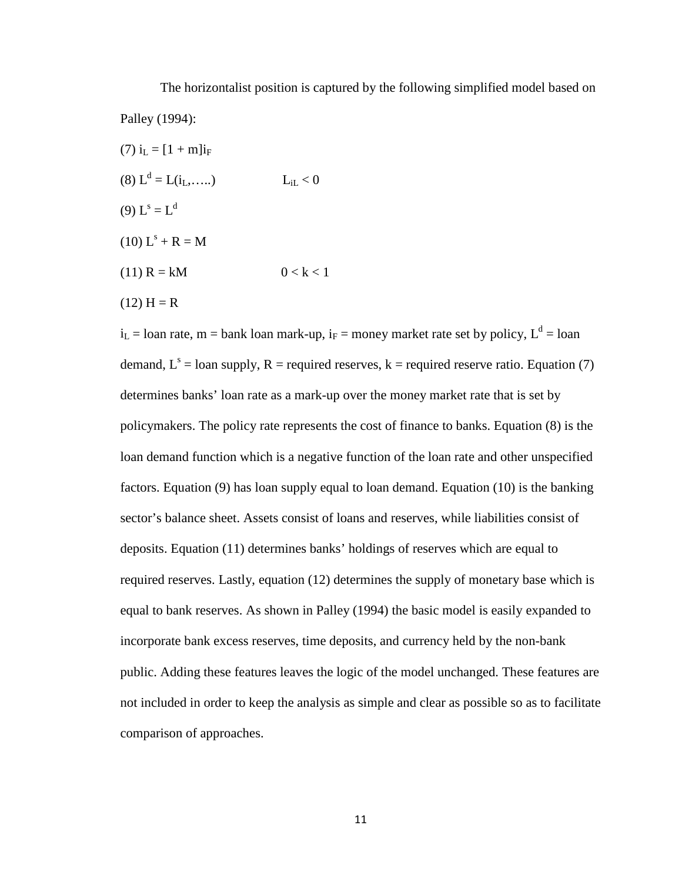The horizontalist position is captured by the following simplified model based on Palley (1994):

(7)  $i_L = [1 + m]i_F$ (8)  $L^d = L(i_1, \ldots)$   $L_i < 0$ (9)  $L^s = L^d$  $(10) L<sup>s</sup> + R = M$ (11)  $R = kM$   $0 < k < 1$ 

 $(12) H = R$ 

 $i_L$  = loan rate, m = bank loan mark-up,  $i_F$  = money market rate set by policy,  $L^d$  = loan demand,  $L^s$  = loan supply, R = required reserves, k = required reserve ratio. Equation (7) determines banks' loan rate as a mark-up over the money market rate that is set by policymakers. The policy rate represents the cost of finance to banks. Equation (8) is the loan demand function which is a negative function of the loan rate and other unspecified factors. Equation (9) has loan supply equal to loan demand. Equation (10) is the banking sector's balance sheet. Assets consist of loans and reserves, while liabilities consist of deposits. Equation (11) determines banks' holdings of reserves which are equal to required reserves. Lastly, equation (12) determines the supply of monetary base which is equal to bank reserves. As shown in Palley (1994) the basic model is easily expanded to incorporate bank excess reserves, time deposits, and currency held by the non-bank public. Adding these features leaves the logic of the model unchanged. These features are not included in order to keep the analysis as simple and clear as possible so as to facilitate comparison of approaches.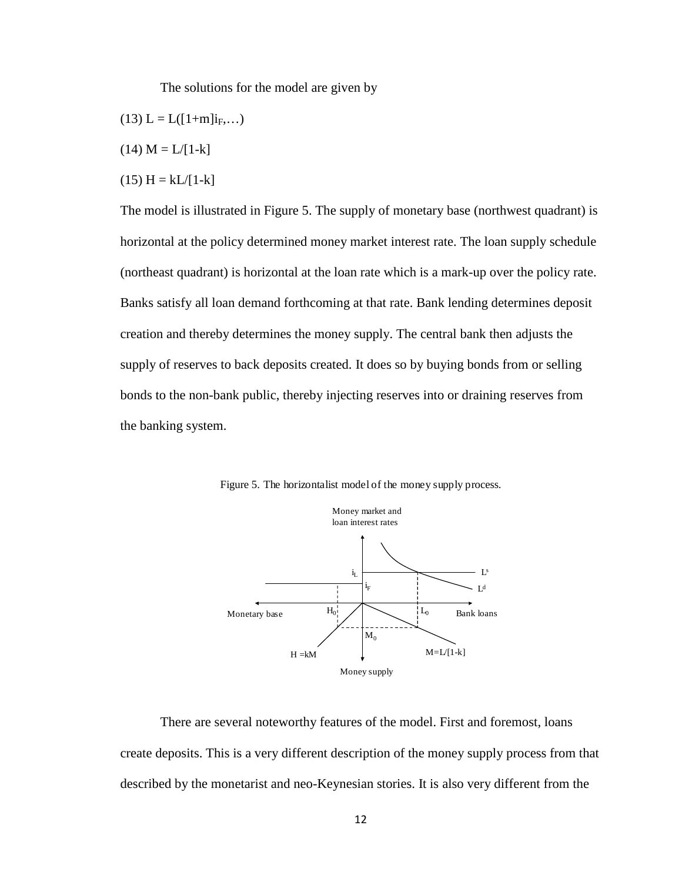The solutions for the model are given by

- $(13) L = L([1+m]i_F,...)$
- $(14)$  M = L/[1-k]
- $(15)$  H = kL/[1-k]

The model is illustrated in Figure 5. The supply of monetary base (northwest quadrant) is horizontal at the policy determined money market interest rate. The loan supply schedule (northeast quadrant) is horizontal at the loan rate which is a mark-up over the policy rate. Banks satisfy all loan demand forthcoming at that rate. Bank lending determines deposit creation and thereby determines the money supply. The central bank then adjusts the supply of reserves to back deposits created. It does so by buying bonds from or selling bonds to the non-bank public, thereby injecting reserves into or draining reserves from the banking system.



Figure 5. The horizontalist model of the money supply process.

There are several noteworthy features of the model. First and foremost, loans create deposits. This is a very different description of the money supply process from that described by the monetarist and neo-Keynesian stories. It is also very different from the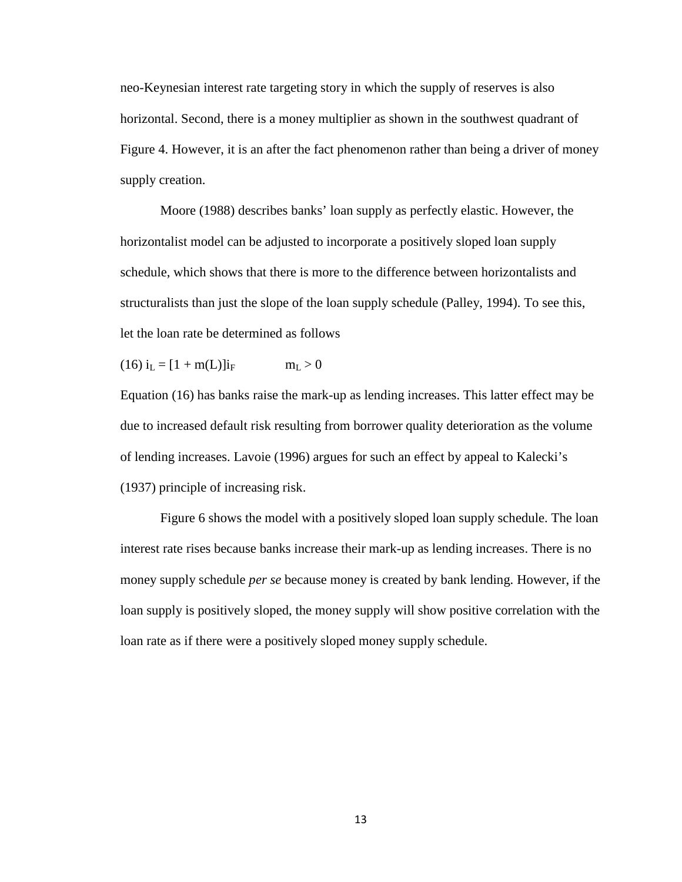neo-Keynesian interest rate targeting story in which the supply of reserves is also horizontal. Second, there is a money multiplier as shown in the southwest quadrant of Figure 4. However, it is an after the fact phenomenon rather than being a driver of money supply creation.

Moore (1988) describes banks' loan supply as perfectly elastic. However, the horizontalist model can be adjusted to incorporate a positively sloped loan supply schedule, which shows that there is more to the difference between horizontalists and structuralists than just the slope of the loan supply schedule (Palley, 1994). To see this, let the loan rate be determined as follows

 $(16) i_L = [1 + m(L)]i_F$  m<sub>L</sub> > 0

Equation (16) has banks raise the mark-up as lending increases. This latter effect may be due to increased default risk resulting from borrower quality deterioration as the volume of lending increases. Lavoie (1996) argues for such an effect by appeal to Kalecki's (1937) principle of increasing risk.

Figure 6 shows the model with a positively sloped loan supply schedule. The loan interest rate rises because banks increase their mark-up as lending increases. There is no money supply schedule *per se* because money is created by bank lending. However, if the loan supply is positively sloped, the money supply will show positive correlation with the loan rate as if there were a positively sloped money supply schedule.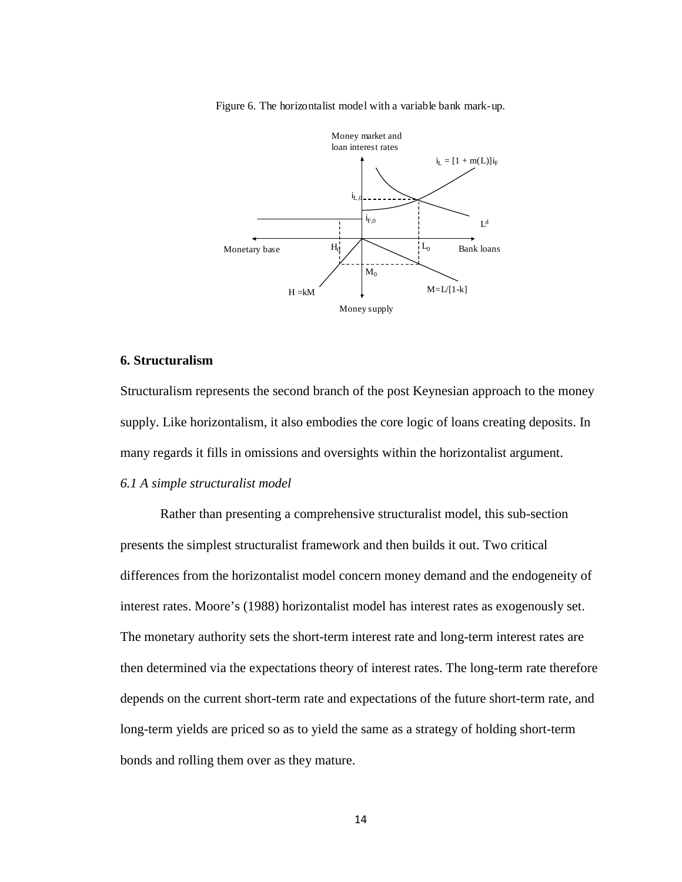Figure 6. The horizontalist model with a variable bank mark-up.



#### **6. Structuralism**

Structuralism represents the second branch of the post Keynesian approach to the money supply. Like horizontalism, it also embodies the core logic of loans creating deposits. In many regards it fills in omissions and oversights within the horizontalist argument.

#### *6.1 A simple structuralist model*

Rather than presenting a comprehensive structuralist model, this sub-section presents the simplest structuralist framework and then builds it out. Two critical differences from the horizontalist model concern money demand and the endogeneity of interest rates. Moore's (1988) horizontalist model has interest rates as exogenously set. The monetary authority sets the short-term interest rate and long-term interest rates are then determined via the expectations theory of interest rates. The long-term rate therefore depends on the current short-term rate and expectations of the future short-term rate, and long-term yields are priced so as to yield the same as a strategy of holding short-term bonds and rolling them over as they mature.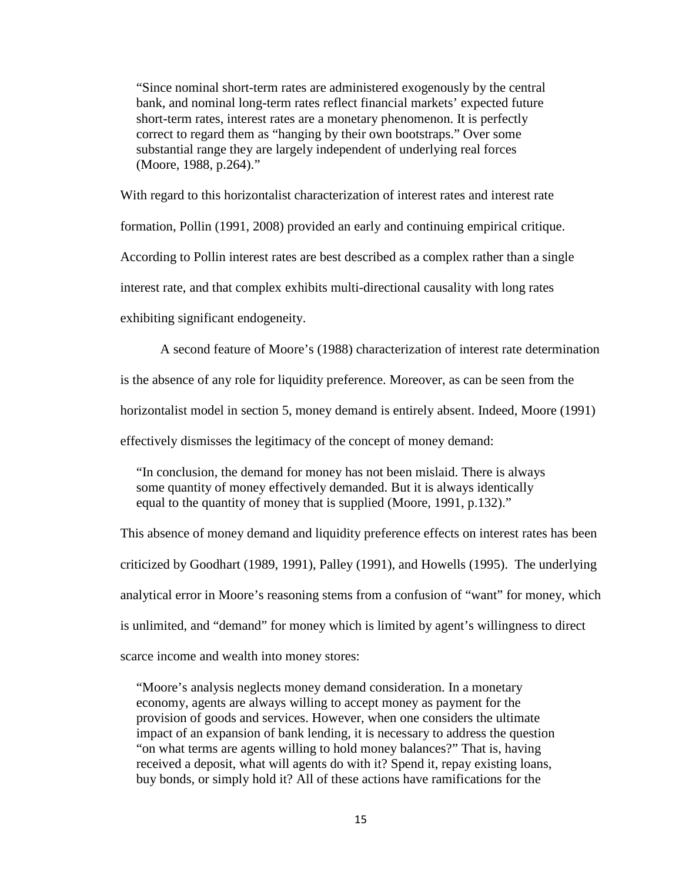"Since nominal short-term rates are administered exogenously by the central bank, and nominal long-term rates reflect financial markets' expected future short-term rates, interest rates are a monetary phenomenon. It is perfectly correct to regard them as "hanging by their own bootstraps." Over some substantial range they are largely independent of underlying real forces (Moore, 1988, p.264)."

With regard to this horizontalist characterization of interest rates and interest rate formation, Pollin (1991, 2008) provided an early and continuing empirical critique. According to Pollin interest rates are best described as a complex rather than a single interest rate, and that complex exhibits multi-directional causality with long rates exhibiting significant endogeneity.

A second feature of Moore's (1988) characterization of interest rate determination is the absence of any role for liquidity preference. Moreover, as can be seen from the horizontalist model in section 5, money demand is entirely absent. Indeed, Moore (1991) effectively dismisses the legitimacy of the concept of money demand:

"In conclusion, the demand for money has not been mislaid. There is always some quantity of money effectively demanded. But it is always identically equal to the quantity of money that is supplied (Moore, 1991, p.132)."

This absence of money demand and liquidity preference effects on interest rates has been criticized by Goodhart (1989, 1991), Palley (1991), and Howells (1995). The underlying analytical error in Moore's reasoning stems from a confusion of "want" for money, which is unlimited, and "demand" for money which is limited by agent's willingness to direct scarce income and wealth into money stores:

"Moore's analysis neglects money demand consideration. In a monetary economy, agents are always willing to accept money as payment for the provision of goods and services. However, when one considers the ultimate impact of an expansion of bank lending, it is necessary to address the question "on what terms are agents willing to hold money balances?" That is, having received a deposit, what will agents do with it? Spend it, repay existing loans, buy bonds, or simply hold it? All of these actions have ramifications for the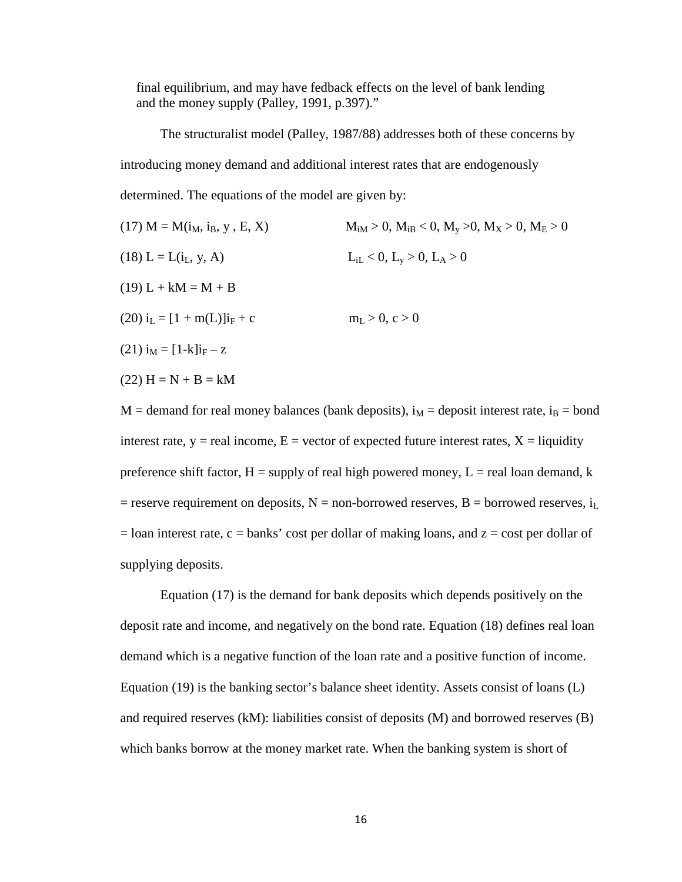final equilibrium, and may have fedback effects on the level of bank lending and the money supply (Palley, 1991, p.397)."

The structuralist model (Palley, 1987/88) addresses both of these concerns by introducing money demand and additional interest rates that are endogenously determined. The equations of the model are given by:

(17) M = M(i<sub>M</sub>, i<sub>B</sub>, y, E, X)  $M_{iM} > 0$ ,  $M_{iB} < 0$ ,  $M_v > 0$ ,  $M_X > 0$ ,  $M_E > 0$ (18) L = L(i<sub>L</sub>, y, A)  $L_{iL} < 0, L_v > 0, L_A > 0$  $(19) L + kM = M + B$ (20)  $i_L = [1 + m(L)]i_F + c$   $m_L > 0, c > 0$  $(21)$  i<sub>M</sub> = [1-k]i<sub>F</sub> – z  $(22) H = N + B = kM$ 

 $M =$  demand for real money balances (bank deposits),  $i_M =$  deposit interest rate,  $i_B =$  bond interest rate,  $y =$  real income,  $E =$  vector of expected future interest rates,  $X =$  liquidity preference shift factor,  $H =$  supply of real high powered money,  $L =$  real loan demand, k = reserve requirement on deposits,  $N =$  non-borrowed reserves,  $B =$  borrowed reserves,  $i_L$  $=$  loan interest rate, c  $=$  banks' cost per dollar of making loans, and  $z =$  cost per dollar of supplying deposits.

Equation (17) is the demand for bank deposits which depends positively on the deposit rate and income, and negatively on the bond rate. Equation (18) defines real loan demand which is a negative function of the loan rate and a positive function of income. Equation (19) is the banking sector's balance sheet identity. Assets consist of loans (L) and required reserves (kM): liabilities consist of deposits (M) and borrowed reserves (B) which banks borrow at the money market rate. When the banking system is short of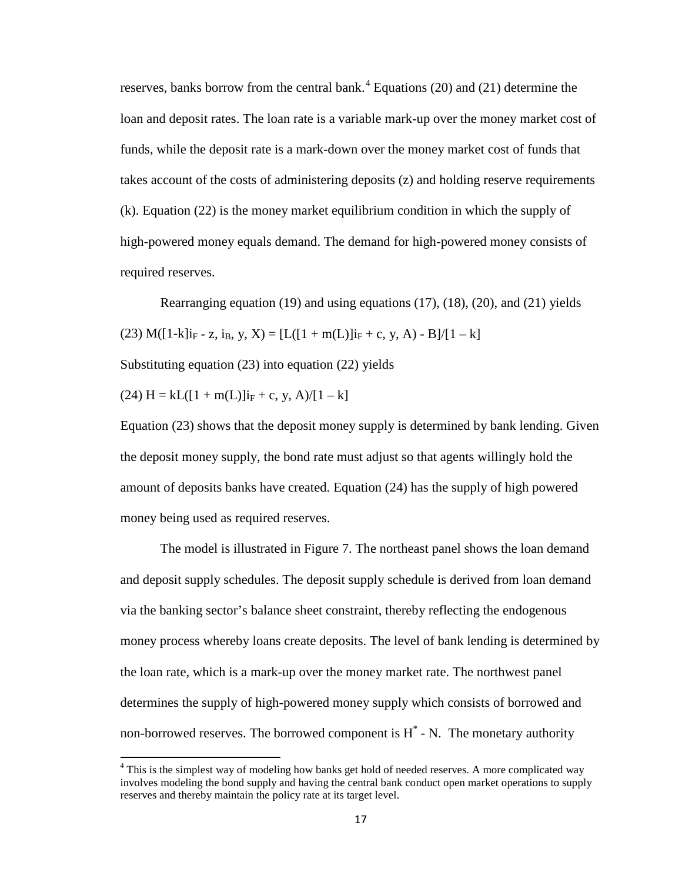reserves, banks borrow from the central bank.<sup>[4](#page-5-0)</sup> Equations (20) and (21) determine the loan and deposit rates. The loan rate is a variable mark-up over the money market cost of funds, while the deposit rate is a mark-down over the money market cost of funds that takes account of the costs of administering deposits (z) and holding reserve requirements (k). Equation (22) is the money market equilibrium condition in which the supply of high-powered money equals demand. The demand for high-powered money consists of required reserves.

Rearranging equation (19) and using equations (17), (18), (20), and (21) yields (23) M( $[1-k]$ i<sub>F</sub> - z, i<sub>B</sub>, y, X) =  $[L([1+m(L)]i_F + c, y, A) - B]/[1 - k]$ Substituting equation (23) into equation (22) yields

 $(24)$  H = kL( $[1 + m(L)]i_F + c$ , y, A)/ $[1 - k]$ 

Equation (23) shows that the deposit money supply is determined by bank lending. Given the deposit money supply, the bond rate must adjust so that agents willingly hold the amount of deposits banks have created. Equation (24) has the supply of high powered money being used as required reserves.

The model is illustrated in Figure 7. The northeast panel shows the loan demand and deposit supply schedules. The deposit supply schedule is derived from loan demand via the banking sector's balance sheet constraint, thereby reflecting the endogenous money process whereby loans create deposits. The level of bank lending is determined by the loan rate, which is a mark-up over the money market rate. The northwest panel determines the supply of high-powered money supply which consists of borrowed and non-borrowed reserves. The borrowed component is  $H^*$  - N. The monetary authority

<span id="page-17-0"></span> $4$  This is the simplest way of modeling how banks get hold of needed reserves. A more complicated way involves modeling the bond supply and having the central bank conduct open market operations to supply reserves and thereby maintain the policy rate at its target level.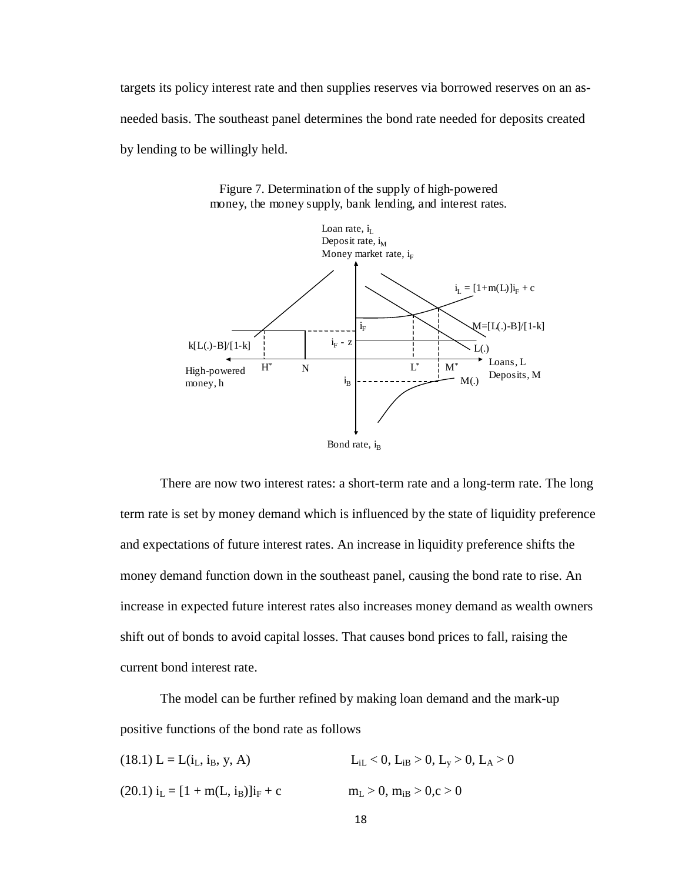targets its policy interest rate and then supplies reserves via borrowed reserves on an asneeded basis. The southeast panel determines the bond rate needed for deposits created by lending to be willingly held.



Figure 7. Determination of the supply of high-powered money, the money supply, bank lending, and interest rates.

There are now two interest rates: a short-term rate and a long-term rate. The long term rate is set by money demand which is influenced by the state of liquidity preference and expectations of future interest rates. An increase in liquidity preference shifts the money demand function down in the southeast panel, causing the bond rate to rise. An increase in expected future interest rates also increases money demand as wealth owners shift out of bonds to avoid capital losses. That causes bond prices to fall, raising the current bond interest rate.

The model can be further refined by making loan demand and the mark-up positive functions of the bond rate as follows

| $(18.1) L = L(i_L, i_B, y, A)$     | $L_{iL} < 0$ , $L_{iB} > 0$ , $L_y > 0$ , $L_A > 0$ |
|------------------------------------|-----------------------------------------------------|
| $(20.1) iL = [1 + m(L, iB)]iF + c$ | $m_L > 0$ , $m_{iB} > 0$ , $c > 0$                  |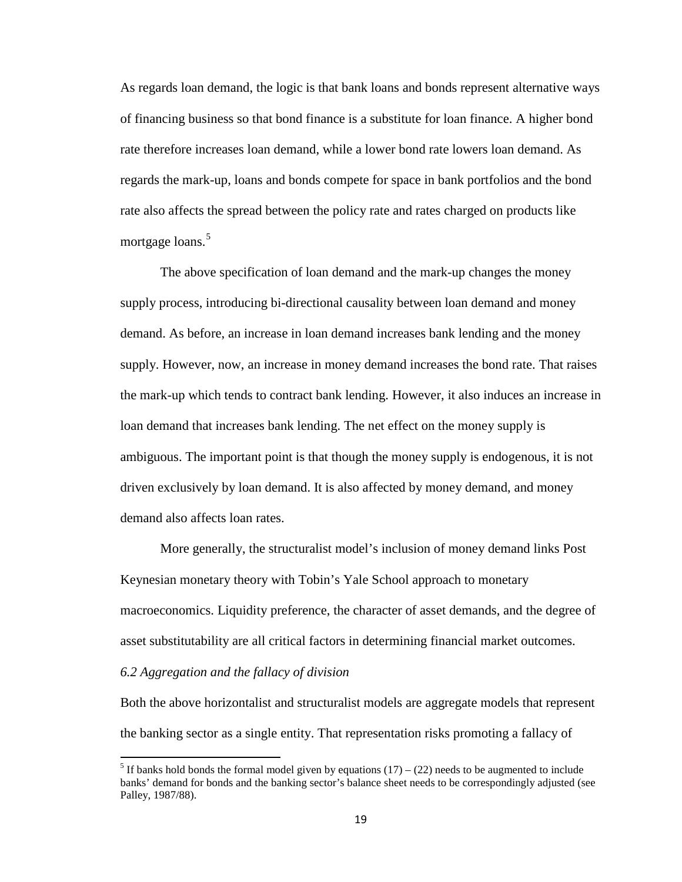As regards loan demand, the logic is that bank loans and bonds represent alternative ways of financing business so that bond finance is a substitute for loan finance. A higher bond rate therefore increases loan demand, while a lower bond rate lowers loan demand. As regards the mark-up, loans and bonds compete for space in bank portfolios and the bond rate also affects the spread between the policy rate and rates charged on products like mortgage loans.<sup>[5](#page-17-0)</sup>

The above specification of loan demand and the mark-up changes the money supply process, introducing bi-directional causality between loan demand and money demand. As before, an increase in loan demand increases bank lending and the money supply. However, now, an increase in money demand increases the bond rate. That raises the mark-up which tends to contract bank lending. However, it also induces an increase in loan demand that increases bank lending. The net effect on the money supply is ambiguous. The important point is that though the money supply is endogenous, it is not driven exclusively by loan demand. It is also affected by money demand, and money demand also affects loan rates.

More generally, the structuralist model's inclusion of money demand links Post Keynesian monetary theory with Tobin's Yale School approach to monetary macroeconomics. Liquidity preference, the character of asset demands, and the degree of asset substitutability are all critical factors in determining financial market outcomes.

#### *6.2 Aggregation and the fallacy of division*

Both the above horizontalist and structuralist models are aggregate models that represent the banking sector as a single entity. That representation risks promoting a fallacy of

<span id="page-19-0"></span><sup>&</sup>lt;sup>5</sup> If banks hold bonds the formal model given by equations  $(17) - (22)$  needs to be augmented to include banks' demand for bonds and the banking sector's balance sheet needs to be correspondingly adjusted (see Palley, 1987/88).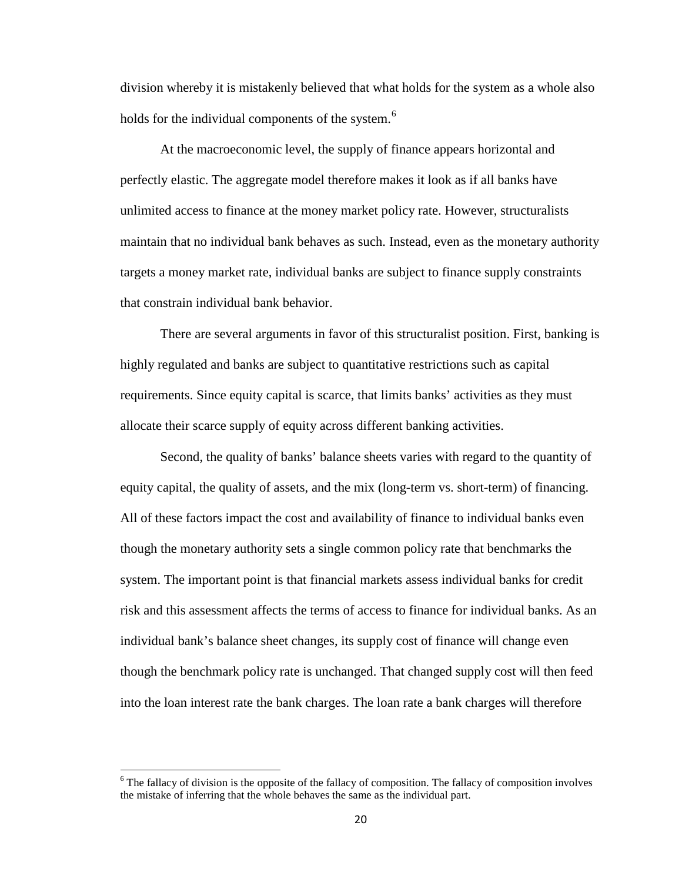division whereby it is mistakenly believed that what holds for the system as a whole also holds for the individual components of the system.<sup>[6](#page-19-0)</sup>

At the macroeconomic level, the supply of finance appears horizontal and perfectly elastic. The aggregate model therefore makes it look as if all banks have unlimited access to finance at the money market policy rate. However, structuralists maintain that no individual bank behaves as such. Instead, even as the monetary authority targets a money market rate, individual banks are subject to finance supply constraints that constrain individual bank behavior.

There are several arguments in favor of this structuralist position. First, banking is highly regulated and banks are subject to quantitative restrictions such as capital requirements. Since equity capital is scarce, that limits banks' activities as they must allocate their scarce supply of equity across different banking activities.

Second, the quality of banks' balance sheets varies with regard to the quantity of equity capital, the quality of assets, and the mix (long-term vs. short-term) of financing. All of these factors impact the cost and availability of finance to individual banks even though the monetary authority sets a single common policy rate that benchmarks the system. The important point is that financial markets assess individual banks for credit risk and this assessment affects the terms of access to finance for individual banks. As an individual bank's balance sheet changes, its supply cost of finance will change even though the benchmark policy rate is unchanged. That changed supply cost will then feed into the loan interest rate the bank charges. The loan rate a bank charges will therefore

<span id="page-20-0"></span> $6$  The fallacy of division is the opposite of the fallacy of composition. The fallacy of composition involves the mistake of inferring that the whole behaves the same as the individual part.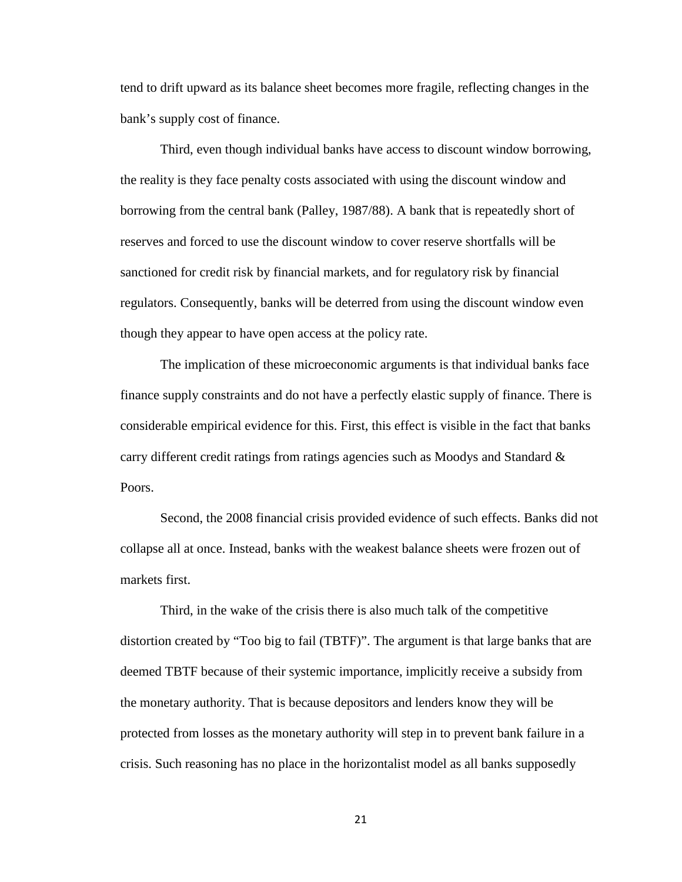tend to drift upward as its balance sheet becomes more fragile, reflecting changes in the bank's supply cost of finance.

Third, even though individual banks have access to discount window borrowing, the reality is they face penalty costs associated with using the discount window and borrowing from the central bank (Palley, 1987/88). A bank that is repeatedly short of reserves and forced to use the discount window to cover reserve shortfalls will be sanctioned for credit risk by financial markets, and for regulatory risk by financial regulators. Consequently, banks will be deterred from using the discount window even though they appear to have open access at the policy rate.

The implication of these microeconomic arguments is that individual banks face finance supply constraints and do not have a perfectly elastic supply of finance. There is considerable empirical evidence for this. First, this effect is visible in the fact that banks carry different credit ratings from ratings agencies such as Moodys and Standard & Poors.

Second, the 2008 financial crisis provided evidence of such effects. Banks did not collapse all at once. Instead, banks with the weakest balance sheets were frozen out of markets first.

Third, in the wake of the crisis there is also much talk of the competitive distortion created by "Too big to fail (TBTF)". The argument is that large banks that are deemed TBTF because of their systemic importance, implicitly receive a subsidy from the monetary authority. That is because depositors and lenders know they will be protected from losses as the monetary authority will step in to prevent bank failure in a crisis. Such reasoning has no place in the horizontalist model as all banks supposedly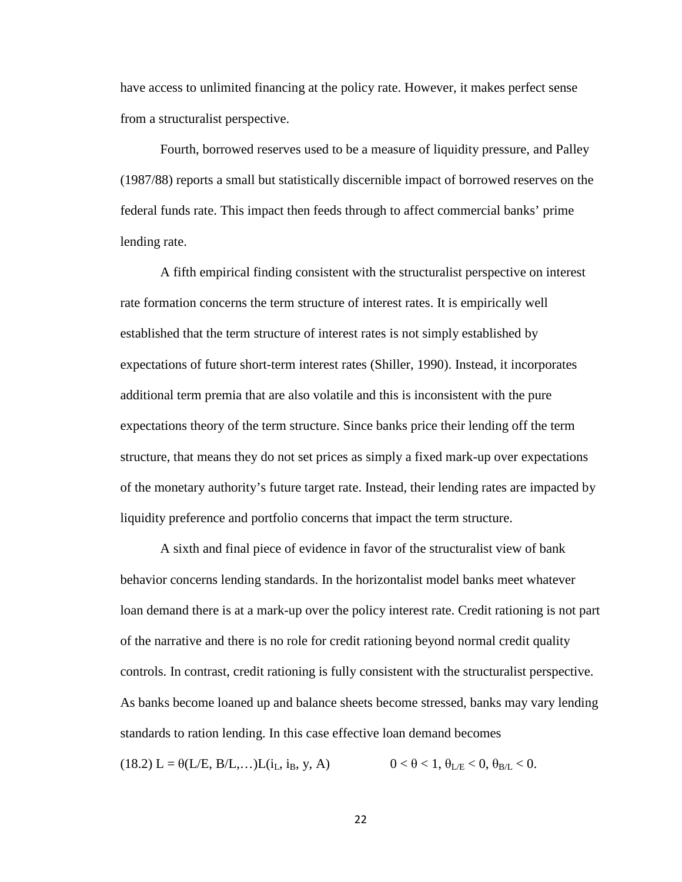have access to unlimited financing at the policy rate. However, it makes perfect sense from a structuralist perspective.

Fourth, borrowed reserves used to be a measure of liquidity pressure, and Palley (1987/88) reports a small but statistically discernible impact of borrowed reserves on the federal funds rate. This impact then feeds through to affect commercial banks' prime lending rate.

A fifth empirical finding consistent with the structuralist perspective on interest rate formation concerns the term structure of interest rates. It is empirically well established that the term structure of interest rates is not simply established by expectations of future short-term interest rates (Shiller, 1990). Instead, it incorporates additional term premia that are also volatile and this is inconsistent with the pure expectations theory of the term structure. Since banks price their lending off the term structure, that means they do not set prices as simply a fixed mark-up over expectations of the monetary authority's future target rate. Instead, their lending rates are impacted by liquidity preference and portfolio concerns that impact the term structure.

A sixth and final piece of evidence in favor of the structuralist view of bank behavior concerns lending standards. In the horizontalist model banks meet whatever loan demand there is at a mark-up over the policy interest rate. Credit rationing is not part of the narrative and there is no role for credit rationing beyond normal credit quality controls. In contrast, credit rationing is fully consistent with the structuralist perspective. As banks become loaned up and balance sheets become stressed, banks may vary lending standards to ration lending. In this case effective loan demand becomes

(18.2) L =  $\theta(L/E, B/L,...)L(i_L, i_B, y, A)$   $0 < \theta < 1, \theta_{L/E} < 0, \theta_{B/L} < 0.$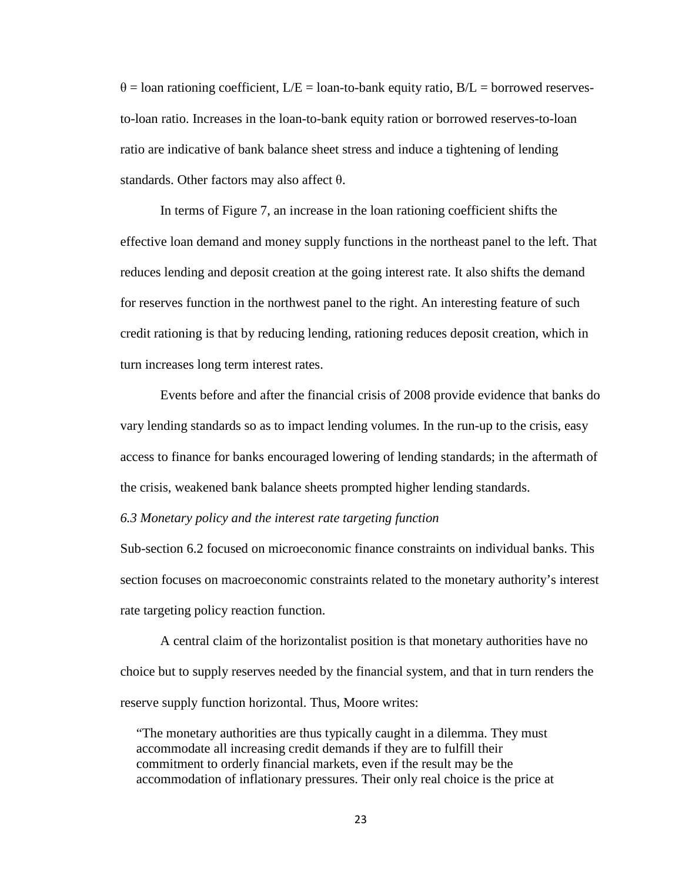$\theta$  = loan rationing coefficient, L/E = loan-to-bank equity ratio, B/L = borrowed reservesto-loan ratio. Increases in the loan-to-bank equity ration or borrowed reserves-to-loan ratio are indicative of bank balance sheet stress and induce a tightening of lending standards. Other factors may also affect θ.

In terms of Figure 7, an increase in the loan rationing coefficient shifts the effective loan demand and money supply functions in the northeast panel to the left. That reduces lending and deposit creation at the going interest rate. It also shifts the demand for reserves function in the northwest panel to the right. An interesting feature of such credit rationing is that by reducing lending, rationing reduces deposit creation, which in turn increases long term interest rates.

Events before and after the financial crisis of 2008 provide evidence that banks do vary lending standards so as to impact lending volumes. In the run-up to the crisis, easy access to finance for banks encouraged lowering of lending standards; in the aftermath of the crisis, weakened bank balance sheets prompted higher lending standards.

#### *6.3 Monetary policy and the interest rate targeting function*

Sub-section 6.2 focused on microeconomic finance constraints on individual banks. This section focuses on macroeconomic constraints related to the monetary authority's interest rate targeting policy reaction function.

A central claim of the horizontalist position is that monetary authorities have no choice but to supply reserves needed by the financial system, and that in turn renders the reserve supply function horizontal. Thus, Moore writes:

"The monetary authorities are thus typically caught in a dilemma. They must accommodate all increasing credit demands if they are to fulfill their commitment to orderly financial markets, even if the result may be the accommodation of inflationary pressures. Their only real choice is the price at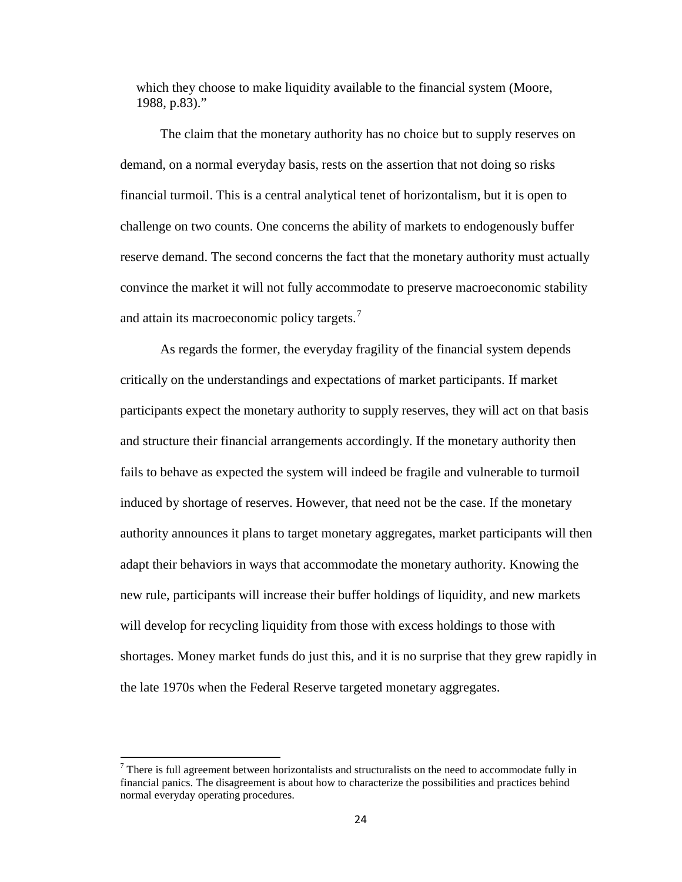which they choose to make liquidity available to the financial system (Moore, 1988, p.83)."

The claim that the monetary authority has no choice but to supply reserves on demand, on a normal everyday basis, rests on the assertion that not doing so risks financial turmoil. This is a central analytical tenet of horizontalism, but it is open to challenge on two counts. One concerns the ability of markets to endogenously buffer reserve demand. The second concerns the fact that the monetary authority must actually convince the market it will not fully accommodate to preserve macroeconomic stability and attain its macroeconomic policy targets.<sup>[7](#page-20-0)</sup>

As regards the former, the everyday fragility of the financial system depends critically on the understandings and expectations of market participants. If market participants expect the monetary authority to supply reserves, they will act on that basis and structure their financial arrangements accordingly. If the monetary authority then fails to behave as expected the system will indeed be fragile and vulnerable to turmoil induced by shortage of reserves. However, that need not be the case. If the monetary authority announces it plans to target monetary aggregates, market participants will then adapt their behaviors in ways that accommodate the monetary authority. Knowing the new rule, participants will increase their buffer holdings of liquidity, and new markets will develop for recycling liquidity from those with excess holdings to those with shortages. Money market funds do just this, and it is no surprise that they grew rapidly in the late 1970s when the Federal Reserve targeted monetary aggregates.

<span id="page-24-0"></span> $<sup>7</sup>$  There is full agreement between horizontalists and structuralists on the need to accommodate fully in</sup> financial panics. The disagreement is about how to characterize the possibilities and practices behind normal everyday operating procedures.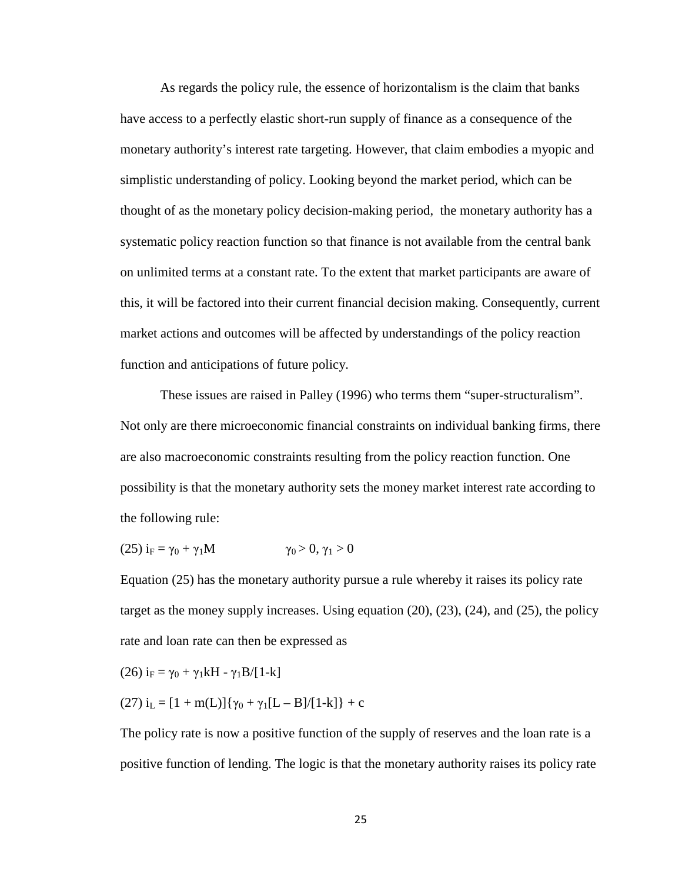As regards the policy rule, the essence of horizontalism is the claim that banks have access to a perfectly elastic short-run supply of finance as a consequence of the monetary authority's interest rate targeting. However, that claim embodies a myopic and simplistic understanding of policy. Looking beyond the market period, which can be thought of as the monetary policy decision-making period, the monetary authority has a systematic policy reaction function so that finance is not available from the central bank on unlimited terms at a constant rate. To the extent that market participants are aware of this, it will be factored into their current financial decision making. Consequently, current market actions and outcomes will be affected by understandings of the policy reaction function and anticipations of future policy.

These issues are raised in Palley (1996) who terms them "super-structuralism". Not only are there microeconomic financial constraints on individual banking firms, there are also macroeconomic constraints resulting from the policy reaction function. One possibility is that the monetary authority sets the money market interest rate according to the following rule:

$$
(25) iF = \gamma_0 + \gamma_1 M \qquad \qquad \gamma_0 > 0, \gamma_1 > 0
$$

Equation (25) has the monetary authority pursue a rule whereby it raises its policy rate target as the money supply increases. Using equation (20), (23), (24), and (25), the policy rate and loan rate can then be expressed as

$$
(26) i_F = \gamma_0 + \gamma_1 kH - \gamma_1 B/[1-k]
$$

(27) 
$$
i_L = [1 + m(L)] \{ \gamma_0 + \gamma_1 [L - B]/[1-k] \} + c
$$

The policy rate is now a positive function of the supply of reserves and the loan rate is a positive function of lending. The logic is that the monetary authority raises its policy rate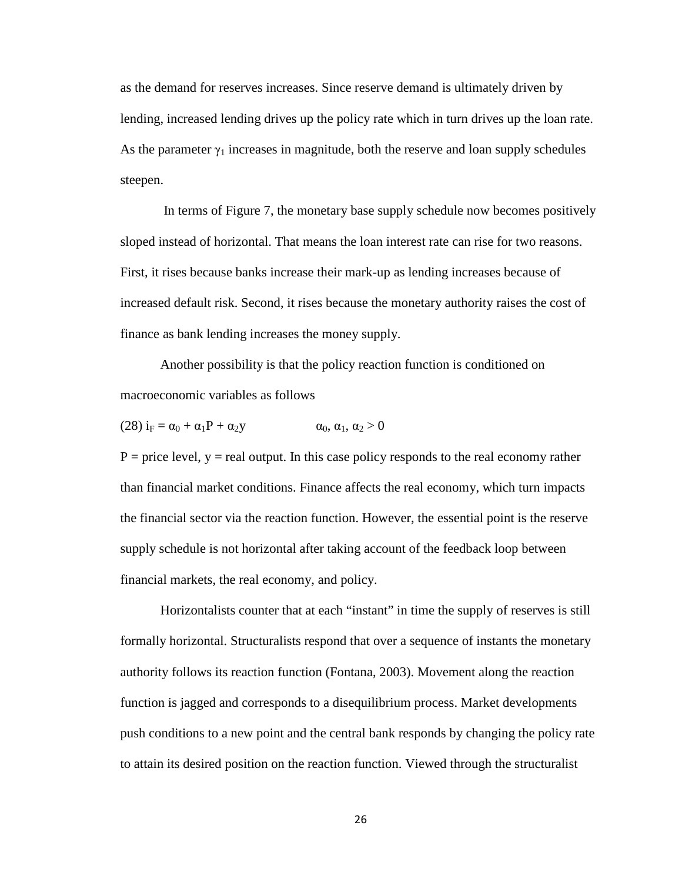as the demand for reserves increases. Since reserve demand is ultimately driven by lending, increased lending drives up the policy rate which in turn drives up the loan rate. As the parameter  $\gamma_1$  increases in magnitude, both the reserve and loan supply schedules steepen.

In terms of Figure 7, the monetary base supply schedule now becomes positively sloped instead of horizontal. That means the loan interest rate can rise for two reasons. First, it rises because banks increase their mark-up as lending increases because of increased default risk. Second, it rises because the monetary authority raises the cost of finance as bank lending increases the money supply.

Another possibility is that the policy reaction function is conditioned on macroeconomic variables as follows

$$
(28) iF = \alpha_0 + \alpha_1 P + \alpha_2 y \qquad \alpha_0, \alpha_1, \alpha_2 > 0
$$

 $P =$  price level,  $y =$  real output. In this case policy responds to the real economy rather than financial market conditions. Finance affects the real economy, which turn impacts the financial sector via the reaction function. However, the essential point is the reserve supply schedule is not horizontal after taking account of the feedback loop between financial markets, the real economy, and policy.

Horizontalists counter that at each "instant" in time the supply of reserves is still formally horizontal. Structuralists respond that over a sequence of instants the monetary authority follows its reaction function (Fontana, 2003). Movement along the reaction function is jagged and corresponds to a disequilibrium process. Market developments push conditions to a new point and the central bank responds by changing the policy rate to attain its desired position on the reaction function. Viewed through the structuralist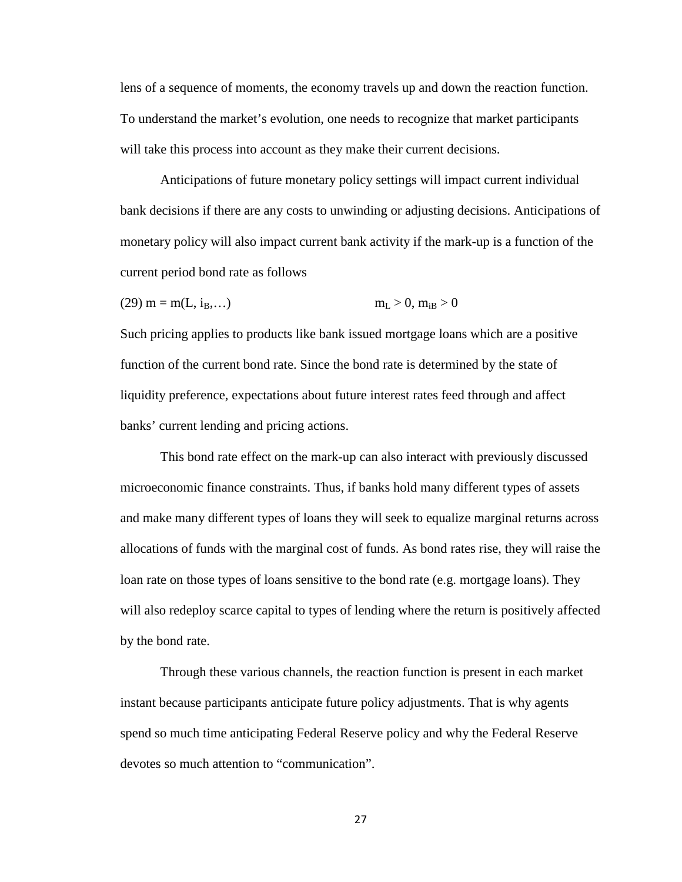lens of a sequence of moments, the economy travels up and down the reaction function. To understand the market's evolution, one needs to recognize that market participants will take this process into account as they make their current decisions.

Anticipations of future monetary policy settings will impact current individual bank decisions if there are any costs to unwinding or adjusting decisions. Anticipations of monetary policy will also impact current bank activity if the mark-up is a function of the current period bond rate as follows

(29) m = m(L, iB,…) mL > 0, miB > 0

Such pricing applies to products like bank issued mortgage loans which are a positive function of the current bond rate. Since the bond rate is determined by the state of liquidity preference, expectations about future interest rates feed through and affect banks' current lending and pricing actions.

This bond rate effect on the mark-up can also interact with previously discussed microeconomic finance constraints. Thus, if banks hold many different types of assets and make many different types of loans they will seek to equalize marginal returns across allocations of funds with the marginal cost of funds. As bond rates rise, they will raise the loan rate on those types of loans sensitive to the bond rate (e.g. mortgage loans). They will also redeploy scarce capital to types of lending where the return is positively affected by the bond rate.

Through these various channels, the reaction function is present in each market instant because participants anticipate future policy adjustments. That is why agents spend so much time anticipating Federal Reserve policy and why the Federal Reserve devotes so much attention to "communication".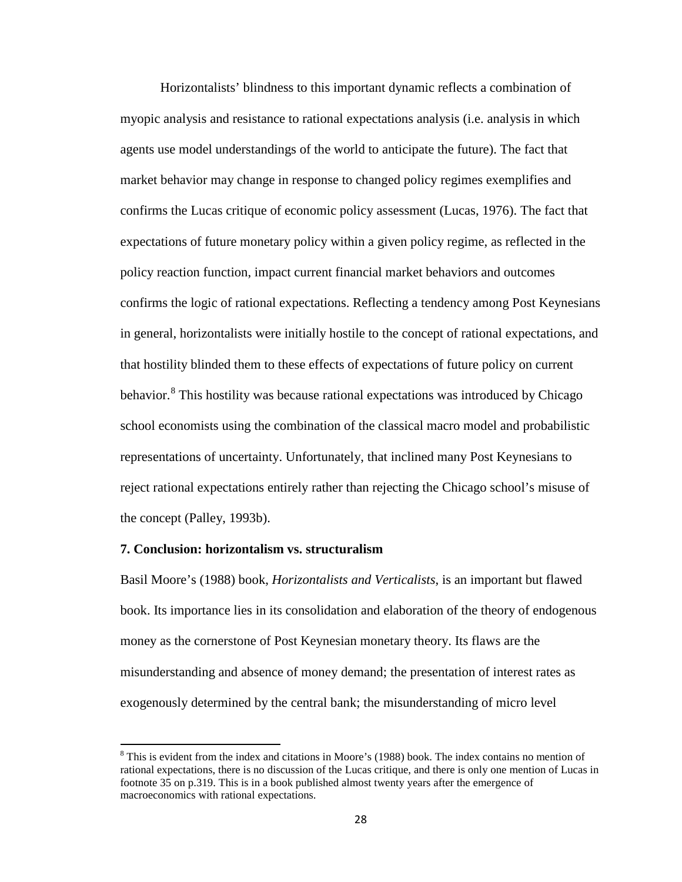Horizontalists' blindness to this important dynamic reflects a combination of myopic analysis and resistance to rational expectations analysis (i.e. analysis in which agents use model understandings of the world to anticipate the future). The fact that market behavior may change in response to changed policy regimes exemplifies and confirms the Lucas critique of economic policy assessment (Lucas, 1976). The fact that expectations of future monetary policy within a given policy regime, as reflected in the policy reaction function, impact current financial market behaviors and outcomes confirms the logic of rational expectations. Reflecting a tendency among Post Keynesians in general, horizontalists were initially hostile to the concept of rational expectations, and that hostility blinded them to these effects of expectations of future policy on current behavior.<sup>[8](#page-24-0)</sup> This hostility was because rational expectations was introduced by Chicago school economists using the combination of the classical macro model and probabilistic representations of uncertainty. Unfortunately, that inclined many Post Keynesians to reject rational expectations entirely rather than rejecting the Chicago school's misuse of the concept (Palley, 1993b).

#### **7. Conclusion: horizontalism vs. structuralism**

Basil Moore's (1988) book, *Horizontalists and Verticalists*, is an important but flawed book. Its importance lies in its consolidation and elaboration of the theory of endogenous money as the cornerstone of Post Keynesian monetary theory. Its flaws are the misunderstanding and absence of money demand; the presentation of interest rates as exogenously determined by the central bank; the misunderstanding of micro level

<sup>&</sup>lt;sup>8</sup> This is evident from the index and citations in Moore's (1988) book. The index contains no mention of rational expectations, there is no discussion of the Lucas critique, and there is only one mention of Lucas in footnote 35 on p.319. This is in a book published almost twenty years after the emergence of macroeconomics with rational expectations.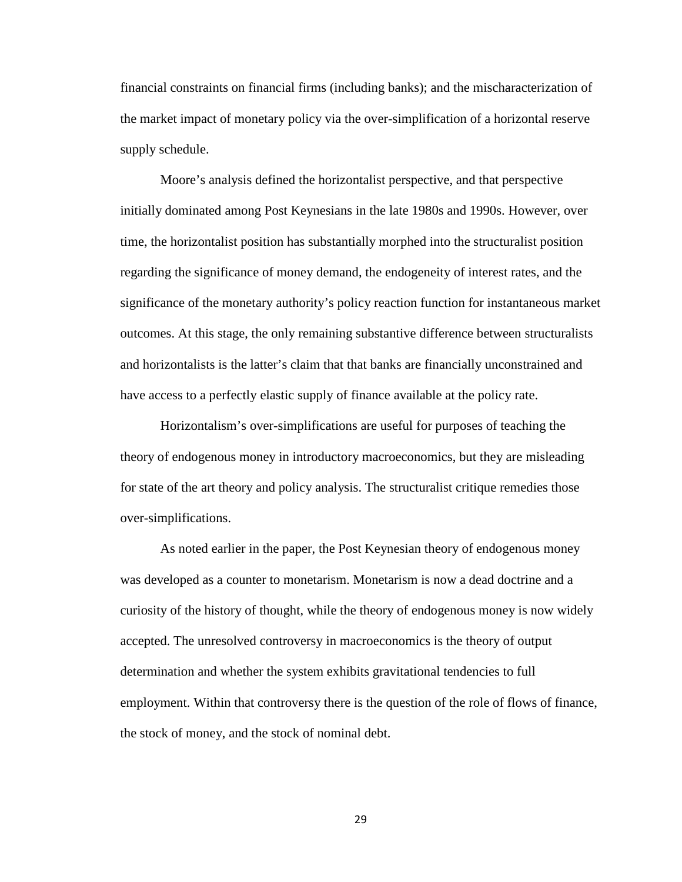financial constraints on financial firms (including banks); and the mischaracterization of the market impact of monetary policy via the over-simplification of a horizontal reserve supply schedule.

Moore's analysis defined the horizontalist perspective, and that perspective initially dominated among Post Keynesians in the late 1980s and 1990s. However, over time, the horizontalist position has substantially morphed into the structuralist position regarding the significance of money demand, the endogeneity of interest rates, and the significance of the monetary authority's policy reaction function for instantaneous market outcomes. At this stage, the only remaining substantive difference between structuralists and horizontalists is the latter's claim that that banks are financially unconstrained and have access to a perfectly elastic supply of finance available at the policy rate.

Horizontalism's over-simplifications are useful for purposes of teaching the theory of endogenous money in introductory macroeconomics, but they are misleading for state of the art theory and policy analysis. The structuralist critique remedies those over-simplifications.

As noted earlier in the paper, the Post Keynesian theory of endogenous money was developed as a counter to monetarism. Monetarism is now a dead doctrine and a curiosity of the history of thought, while the theory of endogenous money is now widely accepted. The unresolved controversy in macroeconomics is the theory of output determination and whether the system exhibits gravitational tendencies to full employment. Within that controversy there is the question of the role of flows of finance, the stock of money, and the stock of nominal debt.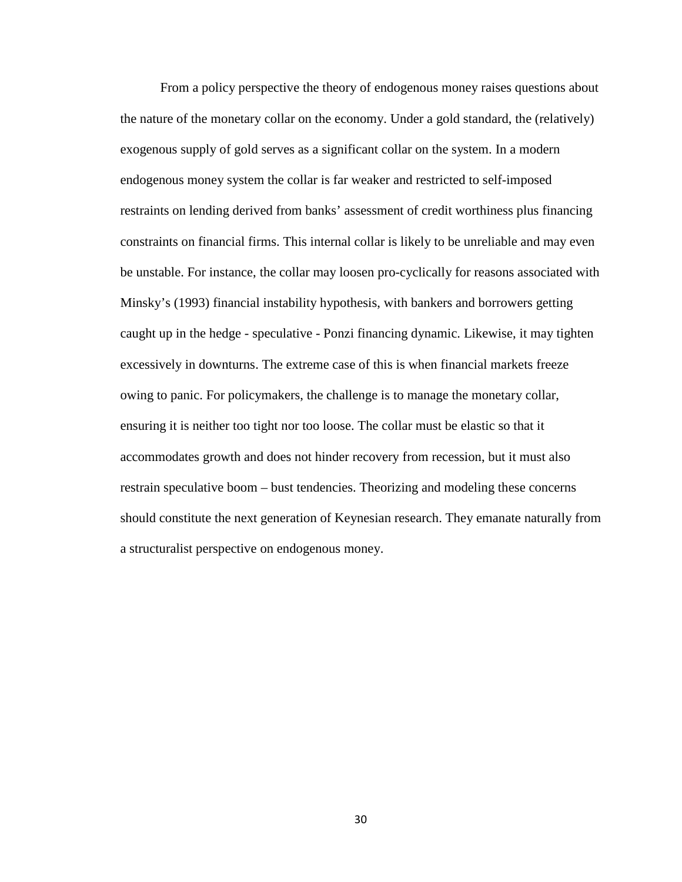From a policy perspective the theory of endogenous money raises questions about the nature of the monetary collar on the economy. Under a gold standard, the (relatively) exogenous supply of gold serves as a significant collar on the system. In a modern endogenous money system the collar is far weaker and restricted to self-imposed restraints on lending derived from banks' assessment of credit worthiness plus financing constraints on financial firms. This internal collar is likely to be unreliable and may even be unstable. For instance, the collar may loosen pro-cyclically for reasons associated with Minsky's (1993) financial instability hypothesis, with bankers and borrowers getting caught up in the hedge - speculative - Ponzi financing dynamic. Likewise, it may tighten excessively in downturns. The extreme case of this is when financial markets freeze owing to panic. For policymakers, the challenge is to manage the monetary collar, ensuring it is neither too tight nor too loose. The collar must be elastic so that it accommodates growth and does not hinder recovery from recession, but it must also restrain speculative boom – bust tendencies. Theorizing and modeling these concerns should constitute the next generation of Keynesian research. They emanate naturally from a structuralist perspective on endogenous money.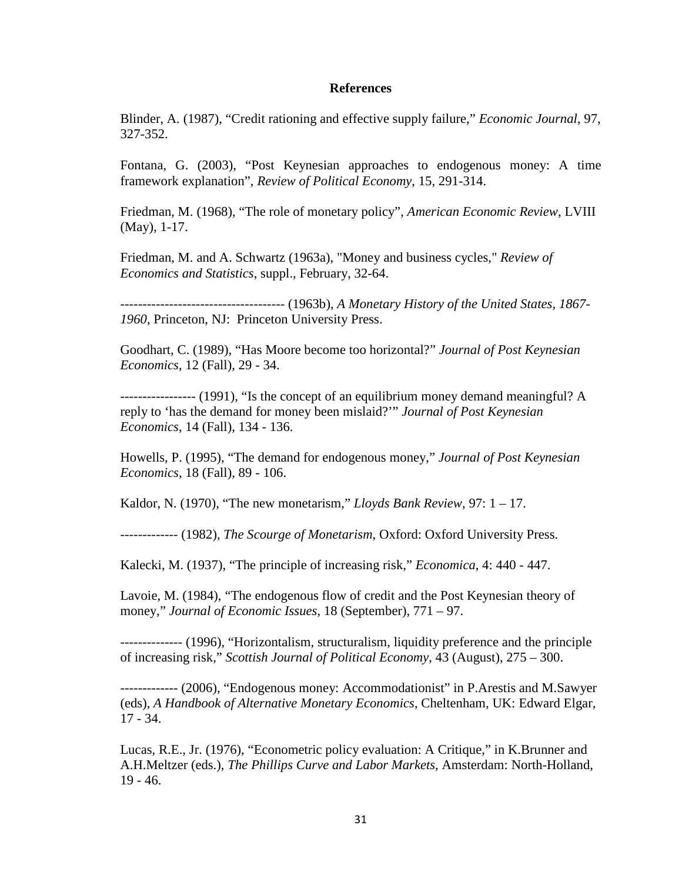#### **References**

Blinder, A. (1987), "Credit rationing and effective supply failure," *Economic Journal*, 97, 327-352.

Fontana, G. (2003), "Post Keynesian approaches to endogenous money: A time framework explanation", *Review of Political Economy*, 15, 291-314.

Friedman, M. (1968), "The role of monetary policy", *American Economic Review*, LVIII (May), 1-17.

Friedman, M. and A. Schwartz (1963a), "Money and business cycles," *Review of Economics and Statistics*, suppl., February, 32-64.

------------------------------------- (1963b), *A Monetary History of the United States, 1867- 1960*, Princeton, NJ: Princeton University Press.

Goodhart, C. (1989), "Has Moore become too horizontal?" *Journal of Post Keynesian Economics*, 12 (Fall), 29 - 34.

----------------- (1991), "Is the concept of an equilibrium money demand meaningful? A reply to 'has the demand for money been mislaid?'" *Journal of Post Keynesian Economics*, 14 (Fall), 134 - 136.

Howells, P. (1995), "The demand for endogenous money," *Journal of Post Keynesian Economics*, 18 (Fall), 89 - 106.

Kaldor, N. (1970), "The new monetarism," *Lloyds Bank Review*, 97: 1 – 17.

------------- (1982), *The Scourge of Monetarism*, Oxford: Oxford University Press.

Kalecki, M. (1937), "The principle of increasing risk," *Economica*, 4: 440 - 447.

Lavoie, M. (1984), "The endogenous flow of credit and the Post Keynesian theory of money," *Journal of Economic Issues*, 18 (September), 771 – 97.

-------------- (1996), "Horizontalism, structuralism, liquidity preference and the principle of increasing risk," *Scottish Journal of Political Economy*, 43 (August), 275 – 300.

------------- (2006), "Endogenous money: Accommodationist" in P.Arestis and M.Sawyer (eds), *A Handbook of Alternative Monetary Economics*, Cheltenham, UK: Edward Elgar, 17 - 34.

Lucas, R.E., Jr. (1976), "Econometric policy evaluation: A Critique," in K.Brunner and A.H.Meltzer (eds.), *The Phillips Curve and Labor Markets*, Amsterdam: North-Holland, 19 - 46.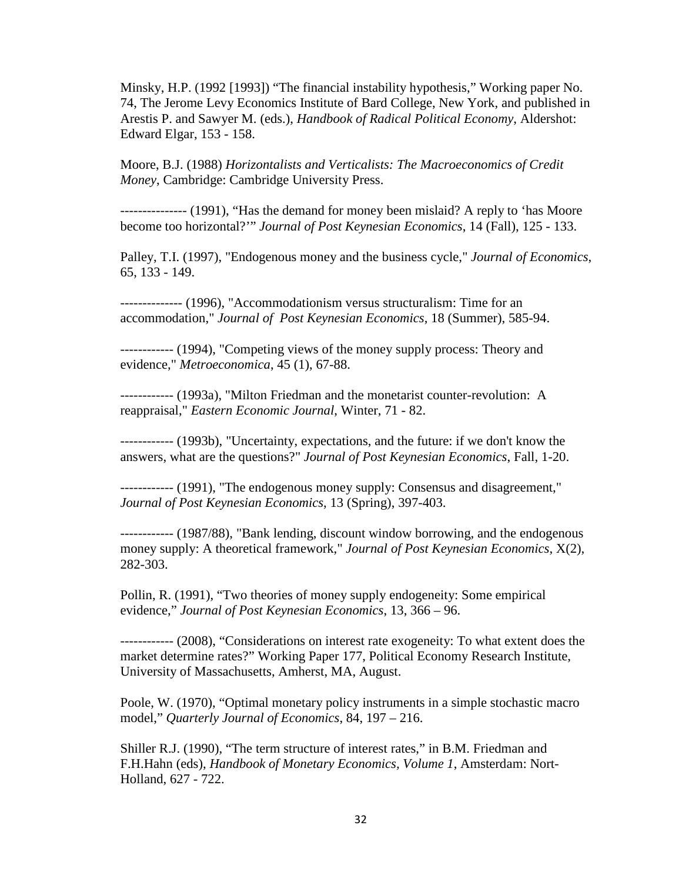Minsky, H.P. (1992 [1993]) "The financial instability hypothesis," Working paper No. 74, The Jerome Levy Economics Institute of Bard College, New York, and published in Arestis P. and Sawyer M. (eds.), *Handbook of Radical Political Economy*, Aldershot: Edward Elgar, 153 - 158.

Moore, B.J. (1988) *Horizontalists and Verticalists: The Macroeconomics of Credit Money*, Cambridge: Cambridge University Press.

--------------- (1991), "Has the demand for money been mislaid? A reply to 'has Moore become too horizontal?'" *Journal of Post Keynesian Economics*, 14 (Fall), 125 - 133.

Palley, T.I. (1997), "Endogenous money and the business cycle," *Journal of Economics*, 65, 133 - 149.

-------------- (1996), "Accommodationism versus structuralism: Time for an accommodation," *Journal of Post Keynesian Economics*, 18 (Summer), 585-94.

------------ (1994), "Competing views of the money supply process: Theory and evidence," *Metroeconomica*, 45 (1), 67-88.

------------ (1993a), "Milton Friedman and the monetarist counter-revolution: A reappraisal," *Eastern Economic Journal*, Winter, 71 - 82.

------------ (1993b), "Uncertainty, expectations, and the future: if we don't know the answers, what are the questions?" *Journal of Post Keynesian Economics*, Fall, 1-20.

------------ (1991), "The endogenous money supply: Consensus and disagreement," *Journal of Post Keynesian Economics*, 13 (Spring), 397-403.

------------ (1987/88), "Bank lending, discount window borrowing, and the endogenous money supply: A theoretical framework," *Journal of Post Keynesian Economics*, X(2), 282-303.

Pollin, R. (1991), "Two theories of money supply endogeneity: Some empirical evidence," *Journal of Post Keynesian Economics*, 13, 366 – 96.

------------ (2008), "Considerations on interest rate exogeneity: To what extent does the market determine rates?" Working Paper 177, Political Economy Research Institute, University of Massachusetts, Amherst, MA, August.

Poole, W. (1970), "Optimal monetary policy instruments in a simple stochastic macro model," *Quarterly Journal of Economics*, 84, 197 – 216.

Shiller R.J. (1990), "The term structure of interest rates," in B.M. Friedman and F.H.Hahn (eds), *Handbook of Monetary Economics, Volume 1*, Amsterdam: Nort-Holland, 627 - 722.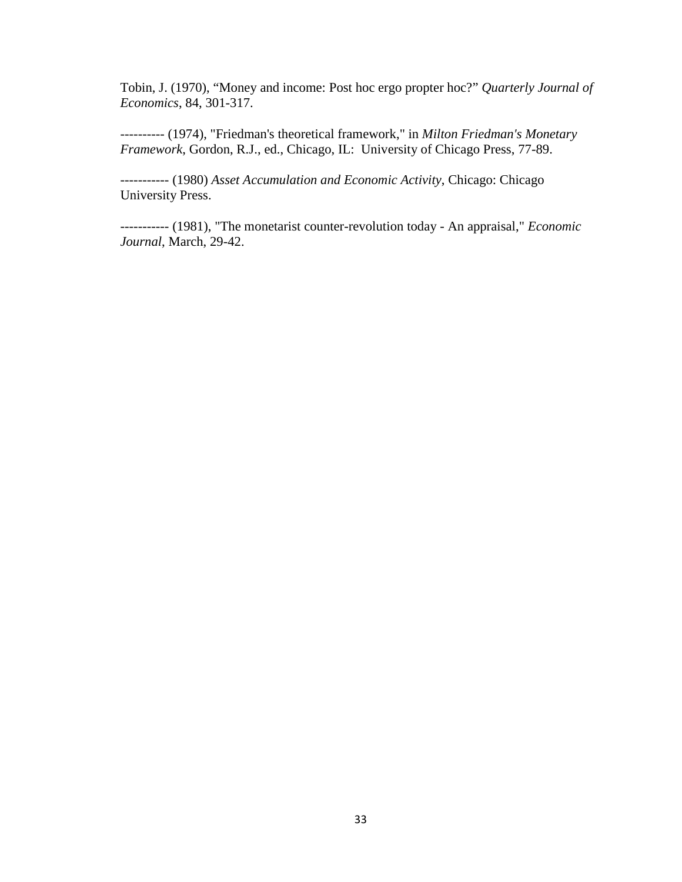Tobin, J. (1970), "Money and income: Post hoc ergo propter hoc?" *Quarterly Journal of Economics*, 84, 301-317.

---------- (1974), "Friedman's theoretical framework," in *Milton Friedman's Monetary Framework*, Gordon, R.J., ed., Chicago, IL: University of Chicago Press, 77-89.

----------- (1980) *Asset Accumulation and Economic Activity*, Chicago: Chicago University Press.

----------- (1981), "The monetarist counter-revolution today - An appraisal," *Economic Journal*, March, 29-42.